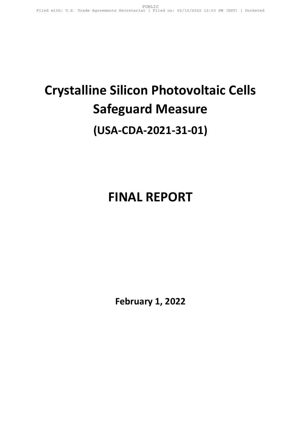# **Crystalline Silicon Photovoltaic Cells Safeguard Measure (USA-CDA-2021-31-01)**

## **FINAL REPORT**

**February 1, 2022**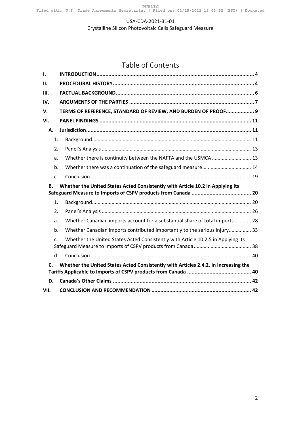#### USA-CDA-2021-31-01

Crystalline Silicon Photovoltaic Cells Safeguard Measure

## Table of Contents

| I.             |                                                                                     |  |  |
|----------------|-------------------------------------------------------------------------------------|--|--|
| П.             |                                                                                     |  |  |
| III.           |                                                                                     |  |  |
| IV.            |                                                                                     |  |  |
| V.             | TERMS OF REFERENCE, STANDARD OF REVIEW, AND BURDEN OF PROOF 9                       |  |  |
| VI.            |                                                                                     |  |  |
| Α.             |                                                                                     |  |  |
| 1.             |                                                                                     |  |  |
| 2.             |                                                                                     |  |  |
| a.             | Whether there is continuity between the NAFTA and the USMCA  13                     |  |  |
| b.             |                                                                                     |  |  |
| c.             |                                                                                     |  |  |
|                |                                                                                     |  |  |
| В.             | Whether the United States Acted Consistently with Article 10.2 in Applying Its      |  |  |
| 1.             |                                                                                     |  |  |
| 2.             |                                                                                     |  |  |
| a.             | Whether Canadian imports account for a substantial share of total imports  28       |  |  |
| b.             | Whether Canadian imports contributed importantly to the serious injury 33           |  |  |
| $\mathsf{C}$ . | Whether the United States Acted Consistently with Article 10.2.5 in Applying Its    |  |  |
| $d_{\cdot}$    |                                                                                     |  |  |
| $\mathsf{C}$   | Whether the United States Acted Consistently with Articles 2.4.2. in Increasing the |  |  |
| D.             |                                                                                     |  |  |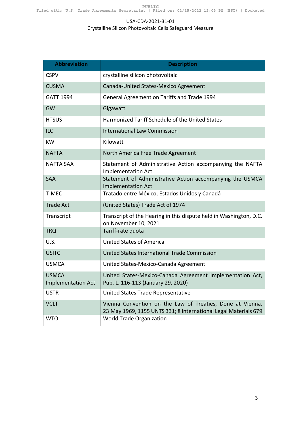#### USA-CDA-2021-31-01

#### Crystalline Silicon Photovoltaic Cells Safeguard Measure

| <b>Abbreviation</b>                       | <b>Description</b>                                                                                                           |
|-------------------------------------------|------------------------------------------------------------------------------------------------------------------------------|
| <b>CSPV</b>                               | crystalline silicon photovoltaic                                                                                             |
| <b>CUSMA</b>                              | Canada-United States-Mexico Agreement                                                                                        |
| <b>GATT 1994</b>                          | General Agreement on Tariffs and Trade 1994                                                                                  |
| GW                                        | Gigawatt                                                                                                                     |
| <b>HTSUS</b>                              | Harmonized Tariff Schedule of the United States                                                                              |
| <b>ILC</b>                                | <b>International Law Commission</b>                                                                                          |
| <b>KW</b>                                 | Kilowatt                                                                                                                     |
| <b>NAFTA</b>                              | North America Free Trade Agreement                                                                                           |
| <b>NAFTA SAA</b>                          | Statement of Administrative Action accompanying the NAFTA<br><b>Implementation Act</b>                                       |
| <b>SAA</b>                                | Statement of Administrative Action accompanying the USMCA<br><b>Implementation Act</b>                                       |
| T-MEC                                     | Tratado entre México, Estados Unidos y Canadá                                                                                |
| <b>Trade Act</b>                          | (United States) Trade Act of 1974                                                                                            |
| Transcript                                | Transcript of the Hearing in this dispute held in Washington, D.C.<br>on November 10, 2021                                   |
| <b>TRQ</b>                                | Tariff-rate quota                                                                                                            |
| <b>U.S.</b>                               | <b>United States of America</b>                                                                                              |
| <b>USITC</b>                              | United States International Trade Commission                                                                                 |
| <b>USMCA</b>                              | United States-Mexico-Canada Agreement                                                                                        |
| <b>USMCA</b><br><b>Implementation Act</b> | United States-Mexico-Canada Agreement Implementation Act,<br>Pub. L. 116-113 (January 29, 2020)                              |
| <b>USTR</b>                               | United States Trade Representative                                                                                           |
| <b>VCLT</b>                               | Vienna Convention on the Law of Treaties, Done at Vienna,<br>23 May 1969, 1155 UNTS 331; 8 International Legal Materials 679 |
| <b>WTO</b>                                | World Trade Organization                                                                                                     |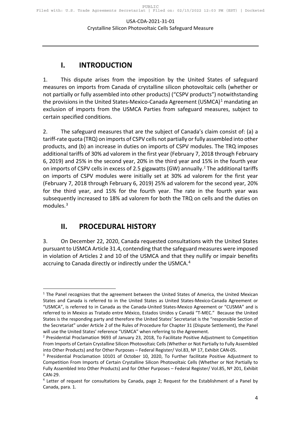## **I. INTRODUCTION**

<span id="page-3-0"></span>1. This dispute arises from the imposition by the United States of safeguard measures on imports from Canada of crystalline silicon photovoltaic cells (whether or not partially or fully assembled into other products) ("CSPV products") notwithstanding the provisions in the United States-Mexico-Canada Agreement (USMCA) $<sup>1</sup>$  $<sup>1</sup>$  $<sup>1</sup>$  mandating an</sup> exclusion of imports from the USMCA Parties from safeguard measures, subject to certain specified conditions.

2. The safeguard measures that are the subject of Canada's claim consist of: (a) a tariff-rate quota (TRQ) on imports of CSPV cells not partially or fully assembled into other products, and (b) an increase in duties on imports of CSPV modules. The TRQ imposes additional tariffs of 30% ad valorem in the first year (February 7, 2018 through February 6, 2019) and 25% in the second year, 20% in the third year and 15% in the fourth year on imports of CSPV cells in excess of [2](#page-3-3).5 gigawatts (GW) annually.<sup>2</sup> The additional tariffs on imports of CSPV modules were initially set at 30% ad valorem for the first year (February 7, 2018 through February 6, 2019) 25% ad valorem for the second year, 20% for the third year, and 15% for the fourth year. The rate in the fourth year was subsequently increased to 18% ad valorem for both the TRQ on cells and the duties on modules.<sup>[3](#page-3-4)</sup>

## <span id="page-3-1"></span>**II. PROCEDURAL HISTORY**

3. On December 22, 2020, Canada requested consultations with the United States pursuant to USMCA Article 31.4, contending that the safeguard measures were imposed in violation of Articles 2 and 10 of the USMCA and that they nullify or impair benefits accruing to Canada directly or indirectly under the USMCA.<sup>[4](#page-3-5)</sup>

<span id="page-3-2"></span> $<sup>1</sup>$  The Panel recognizes that the agreement between the United States of America, the United Mexican</sup> States and Canada is referred to in the United States as United States-Mexico-Canada Agreement or "USMCA", is referred to in Canada as the Canada-United States-Mexico Agreement or "CUSMA" and is referred to in Mexico as Tratado entre México, Estados Unidos y Canadá "T-MEC." Because the United States is the responding party and therefore the United States' Secretariat is the "responsible Section of the Secretariat" under Article 2 of the Rules of Procedure for Chapter 31 (Dispute Settlement), the Panel will use the United States' reference "USMCA" when referring to the Agreement.<br><sup>2</sup> Presidential Proclamation 9693 of January 23, 2018, To Facilitate Positive Adjustment to Competition

<span id="page-3-3"></span>From Imports of Certain Crystalline Silicon Photovoltaic Cells (Whether or Not Partially to Fully Assembled into Other Products) and for Other Purposes – Federal Register/ Vol.83, Nº 17, Exhibit CAN-05.

<span id="page-3-4"></span><sup>&</sup>lt;sup>3</sup> Presidential Proclamation 10101 of October 10, 2020, To Further facilitate Positive Adjustment to Competition From Imports of Certain Crystalline Silicon Photovoltaic Cells (Whether or Not Partially to Fully Assembled Into Other Products) and for Other Purposes - Federal Register/ Vol.85, Nº 201, Exhibit CAN-29.

<span id="page-3-5"></span><sup>&</sup>lt;sup>4</sup> Letter of request for consultations by Canada, page 2; Request for the Establishment of a Panel by Canada, para. 1.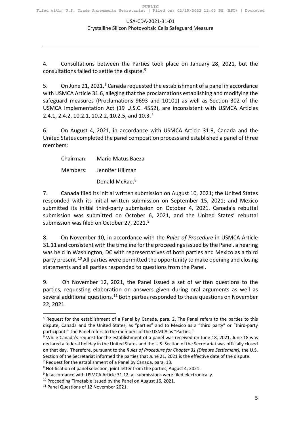4. Consultations between the Parties took place on January 28, 2021, but the consultations failed to settle the dispute.<sup>[5](#page-4-0)</sup>

5. On June 21, 2021,<sup>[6](#page-4-1)</sup> Canada requested the establishment of a panel in accordance with USMCA Article 31.6, alleging that the proclamations establishing and modifying the safeguard measures (Proclamations 9693 and 10101) as well as Section 302 of the USMCA Implementation Act (19 U.S.C. 4552), are inconsistent with USMCA Articles 2.4.1, 2.4.2, 10.2.1, 10.2.2, 10.2.5, and 10.3. [7](#page-4-2)

6. On August 4, 2021, in accordance with USMCA Article 31.9, Canada and the United States completed the panel composition process and established a panel of three members:

Chairman: Mario Matus Baeza Members: Jennifer Hillman

Donald McRae.<sup>[8](#page-4-3)</sup>

7. Canada filed its initial written submission on August 10, 2021; the United States responded with its initial written submission on September 15, 2021; and Mexico submitted its initial third-party submission on October 4, 2021. Canada's rebuttal submission was submitted on October 6, 2021, and the United States' rebuttal submission was filed on October 27, 2021.[9](#page-4-4)

8. On November 10, in accordance with the *Rules of Procedure* in USMCA Article 31.11 and consistent with the timeline for the proceedings issued by the Panel, a hearing was held in Washington, DC with representatives of both parties and Mexico as a third party present.<sup>[10](#page-4-5)</sup> All parties were permitted the opportunity to make opening and closing statements and all parties responded to questions from the Panel.

9. On November 12, 2021, the Panel issued a set of written questions to the parties, requesting elaboration on answers given during oral arguments as well as several additional questions.<sup>[11](#page-4-6)</sup> Both parties responded to these questions on November 22, 2021.

<span id="page-4-2"></span> $7$  Request for the establishment of a Panel by Canada, para. 13.

<span id="page-4-0"></span><sup>5</sup> Request for the establishment of a Panel by Canada, para. 2. The Panel refers to the parties to this dispute, Canada and the United States, as "parties" and to Mexico as a "third party" or "third-party participant." The Panel refers to the members of the USMCA as "Parties."

<span id="page-4-1"></span><sup>6</sup> While Canada's request for the establishment of a panel was received on June 18, 2021, June 18 was declared a federal holiday in the United States and the U.S. Section of the Secretariat was officially closed on that day. Therefore, pursuant to the *Rules of Procedure for Chapter 31 (Dispute Settlement),* the U.S. Section of the Secretariat informed the parties that June 21, 2021 is the effective date of the dispute.

<span id="page-4-3"></span><sup>8</sup> Notification of panel selection, joint letter from the parties, August 4, 2021.

<span id="page-4-4"></span><sup>&</sup>lt;sup>9</sup> In accordance with USMCA Article 31.12, all submissions were filed electronically.

<span id="page-4-5"></span><sup>&</sup>lt;sup>10</sup> Proceeding Timetable issued by the Panel on August 16, 2021.<br><sup>11</sup> Panel Questions of 12 November 2021.

<span id="page-4-6"></span>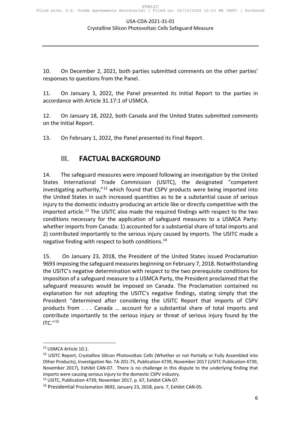#### USA-CDA-2021-31-01

#### Crystalline Silicon Photovoltaic Cells Safeguard Measure

10. On December 2, 2021, both parties submitted comments on the other parties' responses to questions from the Panel.

11. On January 3, 2022, the Panel presented its Initial Report to the parties in accordance with Article 31.17:1 of USMCA.

12. On January 18, 2022, both Canada and the United States submitted comments on the Initial Report.

<span id="page-5-0"></span>13. On February 1, 2022, the Panel presented its Final Report.

### III. **FACTUAL BACKGROUND**

14. The safeguard measures were imposed following an investigation by the United States International Trade Commission (USITC), the designated "competent investigating authority, $n^{12}$  $n^{12}$  $n^{12}$  which found that CSPV products were being imported into the United States in such increased quantities as to be a substantial cause of serious injury to the domestic industry producing an article like or directly competitive with the imported article.<sup>[13](#page-5-2)</sup> The USITC also made the required findings with respect to the two conditions necessary for the application of safeguard measures to a USMCA Party: whether imports from Canada: 1) accounted for a substantial share of total imports and 2) contributed importantly to the serious injury caused by imports. The USITC made a negative finding with respect to both conditions.<sup>[14](#page-5-3)</sup>

15. On January 23, 2018, the President of the United States issued Proclamation 9693 imposing the safeguard measures beginning on February 7, 2018. Notwithstanding the USITC's negative determination with respect to the two prerequisite conditions for imposition of a safeguard measure to a USMCA Party, the President proclaimed that the safeguard measures would be imposed on Canada. The Proclamation contained no explanation for not adopting the USITC's negative findings, stating simply that the President "determined after considering the USITC Report that imports of CSPV products from . . . Canada … account for a substantial share of total imports and contribute importantly to the serious injury or threat of serious injury found by the  $ITC." <sup>15</sup>$  $ITC." <sup>15</sup>$  $ITC." <sup>15</sup>$ 

<span id="page-5-1"></span><sup>12</sup> USMCA Article 10.1.

<span id="page-5-2"></span><sup>&</sup>lt;sup>13</sup> USITC Report, Crystalline Silicon Photovoltaic Cells (Whether or not Partially or Fully Assembled into Other Products), Investigation No. TA-201-75, Publication 4739, November 2017 (USITC Publication 4739, November 2017), Exhibit CAN-07. There is no challenge in this dispute to the underlying finding that imports were causing serious injury to the domestic CSPV industry.

<span id="page-5-3"></span><sup>14</sup> USITC, Publication 4739, November 2017, p. 67, Exhibit CAN-07.

<span id="page-5-4"></span><sup>15</sup> Presidential Proclamation *9693*, January 23, 2018, para. 7, Exhibit CAN-05.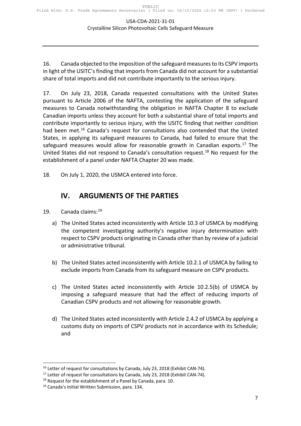16. Canada objected to the imposition of the safeguard measures to its CSPV imports in light of the USITC's finding that imports from Canada did not account for a substantial share of total imports and did not contribute importantly to the serious injury.

17. On July 23, 2018, Canada requested consultations with the United States pursuant to Article 2006 of the NAFTA, contesting the application of the safeguard measures to Canada notwithstanding the obligation in NAFTA Chapter 8 to exclude Canadian imports unless they account for both a substantial share of total imports and contribute importantly to serious injury, with the USITC finding that neither condition had been met.<sup>[16](#page-6-1)</sup> Canada's request for consultations also contended that the United States, in applying its safeguard measures to Canada, had failed to ensure that the safeguard measures would allow for reasonable growth in Canadian exports. $17$  The United States did not respond to Canada's consultation request.[18](#page-6-3) No request for the establishment of a panel under NAFTA Chapter 20 was made.

<span id="page-6-0"></span>18. On July 1, 2020, the USMCA entered into force.

## **IV. ARGUMENTS OF THE PARTIES**

- 19. Canada claims: [19](#page-6-4)
	- a) The United States acted inconsistently with Article 10.3 of USMCA by modifying the competent investigating authority's negative injury determination with respect to CSPV products originating in Canada other than by review of a judicial or administrative tribunal.
	- b) The United States acted inconsistently with Article 10.2.1 of USMCA by failing to exclude imports from Canada from its safeguard measure on CSPV products.
	- c) The United States acted inconsistently with Article 10.2.5(b) of USMCA by imposing a safeguard measure that had the effect of reducing imports of Canadian CSPV products and not allowing for reasonable growth.
	- d) The United States acted inconsistently with Article 2.4.2 of USMCA by applying a customs duty on imports of CSPV products not in accordance with its Schedule; and

<span id="page-6-1"></span><sup>&</sup>lt;sup>16</sup> Letter of request for consultations by Canada, July 23, 2018 (Exhibit CAN-74).

<span id="page-6-2"></span><sup>&</sup>lt;sup>17</sup> Letter of request for consultations by Canada, July 23, 2018 (Exhibit CAN-74).

<span id="page-6-3"></span><sup>&</sup>lt;sup>18</sup> Request for the establishment of a Panel by Canada, para. 10.

<span id="page-6-4"></span><sup>&</sup>lt;sup>19</sup> Canada's Initial Written Submission, para. 134.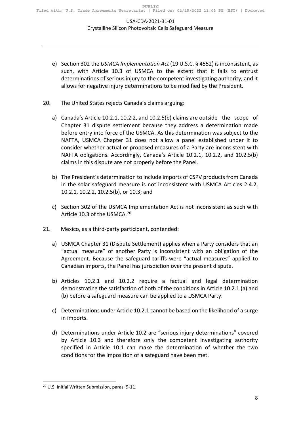- e) Section 302 the *USMCA Implementation Act* (19 U.S.C. § 4552) is inconsistent, as such, with Article 10.3 of USMCA to the extent that it fails to entrust determinations of serious injury to the competent investigating authority, and it allows for negative injury determinations to be modified by the President.
- 20. The United States rejects Canada's claims arguing:
	- a) Canada's Article 10.2.1, 10.2.2, and 10.2.5(b) claims are outside the scope of Chapter 31 dispute settlement because they address a determination made before entry into force of the USMCA. As this determination was subject to the NAFTA, USMCA Chapter 31 does not allow a panel established under it to consider whether actual or proposed measures of a Party are inconsistent with NAFTA obligations. Accordingly, Canada's Article 10.2.1, 10.2.2, and 10.2.5(b) claims in this dispute are not properly before the Panel.
	- b) The President's determination to include imports of CSPV products from Canada in the solar safeguard measure is not inconsistent with USMCA Articles 2.4.2, 10.2.1, 10.2.2, 10.2.5(b), or 10.3; and
	- c) Section 302 of the USMCA Implementation Act is not inconsistent as such with Article 10.3 of the USMCA.<sup>[20](#page-7-0)</sup>
- 21. Mexico, as a third-party participant, contended:
	- a) USMCA Chapter 31 (Dispute Settlement) applies when a Party considers that an "actual measure" of another Party is inconsistent with an obligation of the Agreement. Because the safeguard tariffs were "actual measures" applied to Canadian imports, the Panel has jurisdiction over the present dispute.
	- b) Articles 10.2.1 and 10.2.2 require a factual and legal determination demonstrating the satisfaction of both of the conditions in Article 10.2.1 (a) and (b) before a safeguard measure can be applied to a USMCA Party.
	- c) Determinations under Article 10.2.1 cannot be based on the likelihood of a surge in imports.
	- d) Determinations under Article 10.2 are "serious injury determinations" covered by Article 10.3 and therefore only the competent investigating authority specified in Article 10.1 can make the determination of whether the two conditions for the imposition of a safeguard have been met.

<span id="page-7-0"></span><sup>20</sup> U.S. Initial Written Submission, paras. 9-11.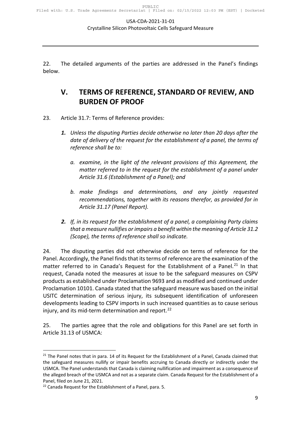<span id="page-8-0"></span>22. The detailed arguments of the parties are addressed in the Panel's findings below.

## **V. TERMS OF REFERENCE, STANDARD OF REVIEW, AND BURDEN OF PROOF**

- 23. Article 31.7: Terms of Reference provides:
	- *1. Unless the disputing Parties decide otherwise no later than 20 days after the date of delivery of the request for the establishment of a panel, the terms of reference shall be to:* 
		- *a. examine, in the light of the relevant provisions of this Agreement, the matter referred to in the request for the establishment of a panel under Article 31.6 (Establishment of a Panel); and*
		- *b. make findings and determinations, and any jointly requested recommendations, together with its reasons therefor, as provided for in Article 31.17 (Panel Report).*
	- *2. If, in its request for the establishment of a panel, a complaining Party claims that a measure nullifies or impairs a benefit within the meaning of Article 31.2 (Scope), the terms of reference shall so indicate.*

24. The disputing parties did not otherwise decide on terms of reference for the Panel. Accordingly, the Panel finds that its terms of reference are the examination of the matter referred to in Canada's Request for the Establishment of a Panel.<sup>[21](#page-8-1)</sup> In that request, Canada noted the measures at issue to be the safeguard measures on CSPV products as established under Proclamation 9693 and as modified and continued under Proclamation 10101. Canada stated that the safeguard measure was based on the initial USITC determination of serious injury, its subsequent identification of unforeseen developments leading to CSPV imports in such increased quantities as to cause serious injury, and its mid-term determination and report.<sup>[22](#page-8-2)</sup>

25. The parties agree that the role and obligations for this Panel are set forth in Article 31.13 of USMCA:

<span id="page-8-1"></span> $21$  The Panel notes that in para. 14 of its Request for the Establishment of a Panel, Canada claimed that the safeguard measures nullify or impair benefits accruing to Canada directly or indirectly under the USMCA. The Panel understands that Canada is claiming nullification and impairment as a consequence of the alleged breach of the USMCA and not as a separate claim. Canada Request for the Establishment of a Panel, filed on June 21, 2021.

<span id="page-8-2"></span><sup>&</sup>lt;sup>22</sup> Canada Request for the Establishment of a Panel, para. 5.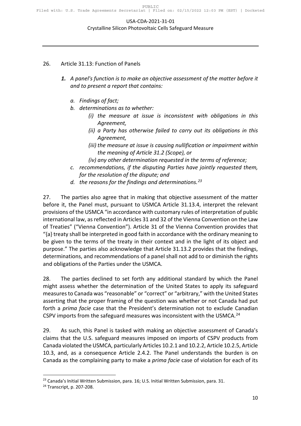#### USA-CDA-2021-31-01

Crystalline Silicon Photovoltaic Cells Safeguard Measure

#### 26. Article 31.13: Function of Panels

- *1. A panel's function is to make an objective assessment of the matter before it and to present a report that contains:* 
	- *a. Findings of fact;*
	- *b. determinations as to whether:* 
		- *(i) the measure at issue is inconsistent with obligations in this Agreement,*
		- *(ii) a Party has otherwise failed to carry out its obligations in this Agreement,*
		- *(iii) the measure at issue is causing nullification or impairment within the meaning of Article 31.2 (Scope), or*
		- *(iv) any other determination requested in the terms of reference;*
	- *c. recommendations, if the disputing Parties have jointly requested them, for the resolution of the dispute; and*
	- *d. the reasons for the findings and determinations.[23](#page-9-0)*

27. The parties also agree that in making that objective assessment of the matter before it, the Panel must, pursuant to USMCA Article 31.13.4, interpret the relevant provisions of the USMCA "in accordance with customary rules of interpretation of public international law, as reflected in Articles 31 and 32 of the Vienna Convention on the Law of Treaties" ("Vienna Convention"). Article 31 of the Vienna Convention provides that "{a} treaty shall be interpreted in good faith in accordance with the ordinary meaning to be given to the terms of the treaty in their context and in the light of its object and purpose." The parties also acknowledge that Article 31.13.2 provides that the findings, determinations, and recommendations of a panel shall not add to or diminish the rights and obligations of the Parties under the USMCA.

28. The parties declined to set forth any additional standard by which the Panel might assess whether the determination of the United States to apply its safeguard measures to Canada was "reasonable" or "correct" or "arbitrary," with the United States asserting that the proper framing of the question was whether or not Canada had put forth a *prima facie* case that the President's determination not to exclude Canadian CSPV imports from the safeguard measures was inconsistent with the USMCA.<sup>[24](#page-9-1)</sup>

29. As such, this Panel is tasked with making an objective assessment of Canada's claims that the U.S. safeguard measures imposed on imports of CSPV products from Canada violated the USMCA, particularly Articles 10.2.1 and 10.2.2, Article 10.2.5, Article 10.3, and, as a consequence Article 2.4.2. The Panel understands the burden is on Canada as the complaining party to make a *prima facie* case of violation for each of its

<span id="page-9-0"></span><sup>&</sup>lt;sup>23</sup> Canada's Initial Written Submission, para. 16; U.S. Initial Written Submission, para. 31.

<span id="page-9-1"></span><sup>24</sup> Transcript, p. 207-208.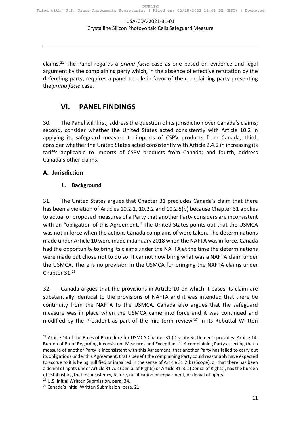claims.[25](#page-10-3) The Panel regards a *prima facie* case as one based on evidence and legal argument by the complaining party which, in the absence of effective refutation by the defending party, requires a panel to rule in favor of the complaining party presenting the *prima facie* case.

## <span id="page-10-0"></span>**VI. PANEL FINDINGS**

30. The Panel will first, address the question of its jurisdiction over Canada's claims; second, consider whether the United States acted consistently with Article 10.2 in applying its safeguard measure to imports of CSPV products from Canada; third, consider whether the United States acted consistently with Article 2.4.2 in increasing its tariffs applicable to imports of CSPV products from Canada; and fourth, address Canada's other claims.

#### <span id="page-10-1"></span>**A. Jurisdiction**

#### <span id="page-10-2"></span>**1. Background**

31. The United States argues that Chapter 31 precludes Canada's claim that there has been a violation of Articles 10.2.1, 10.2.2 and 10.2.5(b) because Chapter 31 applies to actual or proposed measures of a Party that another Party considers are inconsistent with an "obligation of this Agreement." The United States points out that the USMCA was not in force when the actions Canada complains of were taken. The determinations made under Article 10 were made in January 2018 when the NAFTA wasin force. Canada had the opportunity to bring its claims under the NAFTA at the time the determinations were made but chose not to do so. It cannot now bring what was a NAFTA claim under the USMCA. There is no provision in the USMCA for bringing the NAFTA claims under Chapter 31.[26](#page-10-4)

32. Canada argues that the provisions in Article 10 on which it bases its claim are substantially identical to the provisions of NAFTA and it was intended that there be continuity from the NAFTA to the USMCA. Canada also argues that the safeguard measure was in place when the USMCA came into force and it was continued and modified by the President as part of the mid-term review.<sup>[27](#page-10-5)</sup> In its Rebuttal Written

<span id="page-10-3"></span><sup>&</sup>lt;sup>25</sup> Article 14 of the Rules of Procedure for USMCA Chapter 31 (Dispute Settlement) provides: Article 14: Burden of Proof Regarding Inconsistent Measures and Exceptions 1. A complaining Party asserting that a measure of another Party is inconsistent with this Agreement, that another Party has failed to carry out its obligations under this Agreement, that a benefit the complaining Party could reasonably have expected to accrue to it is being nullified or impaired in the sense of Article 31.2(b) (Scope), or that there has been a denial of rights under Article 31-A.2 (Denial of Rights) or Article 31-B.2 (Denial of Rights), has the burden of establishing that inconsistency, failure, nullification or impairment, or denial of rights.

<span id="page-10-4"></span><sup>26</sup> U.S. Initial Written Submission, para. 34.

<span id="page-10-5"></span><sup>27</sup> Canada's Initial Written Submission, para. 21.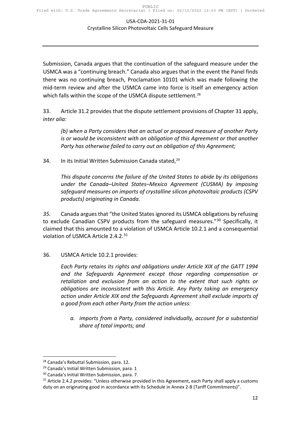Submission, Canada argues that the continuation of the safeguard measure under the USMCA was a "continuing breach." Canada also argues that in the event the Panel finds there was no continuing breach, Proclamation 10101 which was made following the mid-term review and after the USMCA came into force is itself an emergency action which falls within the scope of the USMCA dispute settlement.<sup>[28](#page-11-0)</sup>

33. Article 31.2 provides that the dispute settlement provisions of Chapter 31 apply, *inter alia:*

*(b) when a Party considers that an actual or proposed measure of another Party is or would be inconsistent with an obligation of this Agreement or that another Party has otherwise failed to carry out an obligation of this Agreement;*

34. In its Initial Written Submission Canada stated,<sup>[29](#page-11-1)</sup>

*This dispute concerns the failure of the United States to abide by its obligations under the Canada–United States–Mexico Agreement (CUSMA) by imposing safeguard measures on imports of crystalline silicon photovoltaic products (CSPV products) originating in Canada.* 

*35.* Canada argues that "the United States ignored its USMCA obligations by refusing to exclude Canadian CSPV products from the safeguard measures."<sup>[30](#page-11-2)</sup> Specifically, it claimed that this amounted to a violation of USMCA Article 10.2.1 and a consequential violation of USMCA Article 2.4.2.[31](#page-11-3)

36. USMCA Article 10.2.1 provides:

*Each Party retains its rights and obligations under Article XIX of the GATT 1994 and the Safeguards Agreement except those regarding compensation or retaliation and exclusion from an action to the extent that such rights or obligations are inconsistent with this Article. Any Party taking an emergency action under Article XIX and the Safeguards Agreement shall exclude imports of a good from each other Party from the action unless:*

*a. imports from a Party, considered individually, account for a substantial share of total imports; and*

<span id="page-11-0"></span><sup>28</sup> Canada's Rebuttal Submission, para. 12.

<span id="page-11-1"></span><sup>&</sup>lt;sup>29</sup> Canada's Initial Written Submission, para. 1

<span id="page-11-2"></span><sup>30</sup> Canada's Initial Written Submission, para. 7.

<span id="page-11-3"></span><sup>&</sup>lt;sup>31</sup> Article 2.4.2 provides: "Unless otherwise provided in this Agreement, each Party shall apply a customs duty on an originating good in accordance with its Schedule in Annex 2-B (Tariff Commitments)".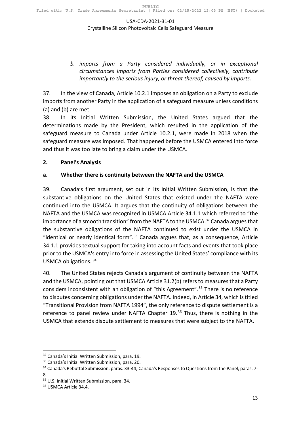*b. imports from a Party considered individually, or in exceptional circumstances imports from Parties considered collectively, contribute importantly to the serious injury, or threat thereof, caused by imports.*

37. In the view of Canada, Article 10.2.1 imposes an obligation on a Party to exclude imports from another Party in the application of a safeguard measure unless conditions (a) and (b) are met.

38. In its Initial Written Submission, the United States argued that the determinations made by the President, which resulted in the application of the safeguard measure to Canada under Article 10.2.1, were made in 2018 when the safeguard measure was imposed. That happened before the USMCA entered into force and thus it was too late to bring a claim under the USMCA.

#### <span id="page-12-0"></span>**2. Panel's Analysis**

#### <span id="page-12-1"></span>**a. Whether there is continuity between the NAFTA and the USMCA**

39. Canada's first argument, set out in its Initial Written Submission, is that the substantive obligations on the United States that existed under the NAFTA were continued into the USMCA. It argues that the continuity of obligations between the NAFTA and the USMCA was recognized in USMCA Article 34.1.1 which referred to "the importance of a smooth transition" from the NAFTA to the USMCA.<sup>[32](#page-12-2)</sup> Canada argues that the substantive obligations of the NAFTA continued to exist under the USMCA in "identical or nearly identical form".<sup>[33](#page-12-3)</sup> Canada argues that, as a consequence, Article 34.1.1 provides textual support for taking into account facts and events that took place prior to the USMCA's entry into force in assessing the United States' compliance with its USMCA obligations. [34](#page-12-4)

40. The United States rejects Canada's argument of continuity between the NAFTA and the USMCA, pointing out that USMCA Article 31.2(b) refers to measures that a Party considers inconsistent with an obligation of "this Agreement".<sup>[35](#page-12-5)</sup> There is no reference to disputes concerning obligations under the NAFTA. Indeed, in Article 34, which is titled "Transitional Provision from NAFTA 1994", the only reference to dispute settlement is a reference to panel review under NAFTA Chapter  $19<sup>36</sup>$  $19<sup>36</sup>$  $19<sup>36</sup>$  Thus, there is nothing in the USMCA that extends dispute settlement to measures that were subject to the NAFTA.

<span id="page-12-2"></span><sup>32</sup> Canada's Initial Written Submission, para. 19.

<span id="page-12-3"></span><sup>33</sup> Canada's Initial Written Submission, para. 20.

<span id="page-12-4"></span><sup>34</sup> Canada's Rebuttal Submission, paras. 33-44; Canada's Responses to Questions from the Panel, paras. 7-8.

<span id="page-12-5"></span><sup>35</sup> U.S. Initial Written Submission, para. 34.

<span id="page-12-6"></span><sup>&</sup>lt;sup>36</sup> USMCA Article 34.4.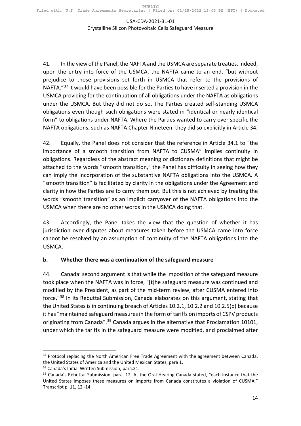41. In the view of the Panel, the NAFTA and the USMCA are separate treaties. Indeed, upon the entry into force of the USMCA, the NAFTA came to an end, "but without prejudice to those provisions set forth in USMCA that refer to the provisions of NAFTA."<sup>[37](#page-13-1)</sup> It would have been possible for the Parties to have inserted a provision in the USMCA providing for the continuation of all obligations under the NAFTA as obligations under the USMCA. But they did not do so. The Parties created self-standing USMCA obligations even though such obligations were stated in "identical or nearly identical form" to obligations under NAFTA. Where the Parties wanted to carry over specific the NAFTA obligations, such as NAFTA Chapter Nineteen, they did so explicitly in Article 34.

42. Equally, the Panel does not consider that the reference in Article 34.1 to "the importance of a smooth transition from NAFTA to CUSMA" implies continuity in obligations. Regardless of the abstract meaning or dictionary definitions that might be attached to the words "smooth transition," the Panel has difficulty in seeing how they can imply the incorporation of the substantive NAFTA obligations into the USMCA. A "smooth transition" is facilitated by clarity in the obligations under the Agreement and clarity in how the Parties are to carry them out. But this is not achieved by treating the words "smooth transition" as an implicit carryover of the NAFTA obligations into the USMCA when there are no other words in the USMCA doing that.

43. Accordingly, the Panel takes the view that the question of whether it has jurisdiction over disputes about measures taken before the USMCA came into force cannot be resolved by an assumption of continuity of the NAFTA obligations into the USMCA.

#### <span id="page-13-0"></span>**b. Whether there was a continuation of the safeguard measure**

44. Canada' second argument is that while the imposition of the safeguard measure took place when the NAFTA was in force, "[t]he safeguard measure was continued and modified by the President, as part of the mid-term review, after CUSMA entered into force."[38](#page-13-2) In its Rebuttal Submission, Canada elaborates on this argument, stating that the United States is in continuing breach of Articles 10.2.1, 10.2.2 and 10.2.5(b) because it has "maintained safeguard measures in the form of tariffs on imports of CSPV products originating from Canada".<sup>[39](#page-13-3)</sup> Canada argues in the alternative that Proclamation 10101, under which the tariffs in the safeguard measure were modified, and proclaimed after

<span id="page-13-1"></span><sup>&</sup>lt;sup>37</sup> Protocol replacing the North American Free Trade Agreement with the agreement between Canada, the United States of America and the United Mexican States, para 1.

<span id="page-13-2"></span><sup>38</sup> Canada's Initial Written Submission, para.21.

<span id="page-13-3"></span> $39$  Canada's Rebuttal Submission, para. 12. At the Oral Hearing Canada stated, "each instance that the United States imposes these measures on imports from Canada constitutes a violation of CUSMA." Transcript p. 11, 12 -14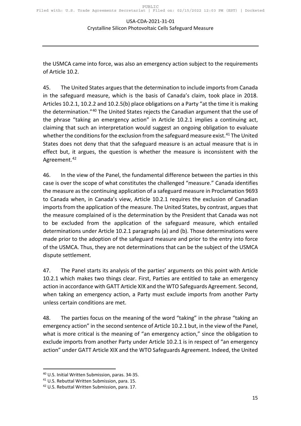the USMCA came into force, was also an emergency action subject to the requirements of Article 10.2.

45. The United States argues that the determination to include imports from Canada in the safeguard measure, which is the basis of Canada's claim, took place in 2018. Articles 10.2.1, 10.2.2 and 10.2.5(b) place obligations on a Party "at the time it is making the determination."[40](#page-14-0) The United States rejects the Canadian argument that the use of the phrase "taking an emergency action" in Article 10.2.1 implies a continuing act, claiming that such an interpretation would suggest an ongoing obligation to evaluate whether the conditions for the exclusion from the safeguard measure exist.<sup>[41](#page-14-1)</sup> The United States does not deny that that the safeguard measure is an actual measure that is in effect but, it argues, the question is whether the measure is inconsistent with the Agreement.<sup>[42](#page-14-2)</sup>

46. In the view of the Panel, the fundamental difference between the parties in this case is over the scope of what constitutes the challenged "measure." Canada identifies the measure as the continuing application of a safeguard measure in Proclamation 9693 to Canada when, in Canada's view, Article 10.2.1 requires the exclusion of Canadian imports from the application of the measure. The United States, by contrast, argues that the measure complained of is the determination by the President that Canada was not to be excluded from the application of the safeguard measure, which entailed determinations under Article 10.2.1 paragraphs (a) and (b). Those determinations were made prior to the adoption of the safeguard measure and prior to the entry into force of the USMCA. Thus, they are not determinations that can be the subject of the USMCA dispute settlement.

47. The Panel starts its analysis of the parties' arguments on this point with Article 10.2.1 which makes two things clear. First, Parties are entitled to take an emergency action in accordance with GATT Article XIX and the WTO Safeguards Agreement. Second, when taking an emergency action, a Party must exclude imports from another Party unless certain conditions are met.

48. The parties focus on the meaning of the word "taking" in the phrase "taking an emergency action" in the second sentence of Article 10.2.1 but, in the view of the Panel, what is more critical is the meaning of "an emergency action," since the obligation to exclude imports from another Party under Article 10.2.1 is in respect of "an emergency action" under GATT Article XIX and the WTO Safeguards Agreement. Indeed, the United

<span id="page-14-0"></span><sup>40</sup> U.S. Initial Written Submission, paras. 34-35. 41 U.S. Rebuttal Written Submission, para. 15.

<span id="page-14-1"></span>

<span id="page-14-2"></span><sup>&</sup>lt;sup>42</sup> U.S. Rebuttal Written Submission, para. 17.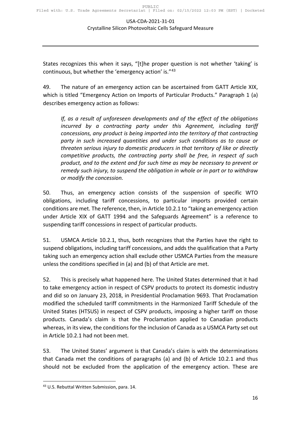States recognizes this when it says, "[t]he proper question is not whether 'taking' is continuous, but whether the 'emergency action' is."[43](#page-15-0)

49. The nature of an emergency action can be ascertained from GATT Article XIX, which is titled "Emergency Action on Imports of Particular Products." Paragraph 1 (a) describes emergency action as follows:

*If, as a result of unforeseen developments and of the effect of the obligations incurred by a contracting party under this Agreement, including tariff concessions, any product is being imported into the territory of that contracting party in such increased quantities and under such conditions as to cause or threaten serious injury to domestic producers in that territory of like or directly competitive products, the contracting party shall be free, in respect of such product, and to the extent and for such time as may be necessary to prevent or remedy such injury, to suspend the obligation in whole or in part or to withdraw or modify the concession.*

50. Thus, an emergency action consists of the suspension of specific WTO obligations, including tariff concessions, to particular imports provided certain conditions are met. The reference, then, in Article 10.2.1 to "taking an emergency action under Article XIX of GATT 1994 and the Safeguards Agreement" is a reference to suspending tariff concessions in respect of particular products.

51. USMCA Article 10.2.1, thus, both recognizes that the Parties have the right to suspend obligations, including tariff concessions, and adds the qualification that a Party taking such an emergency action shall exclude other USMCA Parties from the measure unless the conditions specified in (a) and (b) of that Article are met.

52. This is precisely what happened here. The United States determined that it had to take emergency action in respect of CSPV products to protect its domestic industry and did so on January 23, 2018, in Presidential Proclamation 9693. That Proclamation modified the scheduled tariff commitments in the Harmonized Tariff Schedule of the United States (HTSUS) in respect of CSPV products, imposing a higher tariff on those products. Canada's claim is that the Proclamation applied to Canadian products whereas, in its view, the conditions for the inclusion of Canada as a USMCA Party set out in Article 10.2.1 had not been met.

53. The United States' argument is that Canada's claim is with the determinations that Canada met the conditions of paragraphs (a) and (b) of Article 10.2.1 and thus should not be excluded from the application of the emergency action. These are

<span id="page-15-0"></span><sup>43</sup> U.S. Rebuttal Written Submission, para. 14.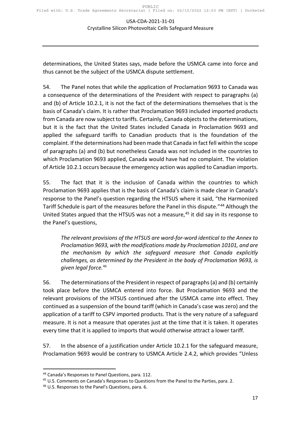determinations, the United States says, made before the USMCA came into force and thus cannot be the subject of the USMCA dispute settlement.

54. The Panel notes that while the application of Proclamation 9693 to Canada was a consequence of the determinations of the President with respect to paragraphs (a) and (b) of Article 10.2.1, it is not the fact of the determinations themselves that is the basis of Canada's claim. It is rather that Proclamation 9693 included imported products from Canada are now subject to tariffs. Certainly, Canada objects to the determinations, but it is the fact that the United States included Canada in Proclamation 9693 and applied the safeguard tariffs to Canadian products that is the foundation of the complaint. If the determinations had been made that Canada in fact fell within the scope of paragraphs (a) and (b) but nonetheless Canada was not included in the countries to which Proclamation 9693 applied, Canada would have had no complaint. The violation of Article 10.2.1 occurs because the emergency action was applied to Canadian imports.

55. The fact that it is the inclusion of Canada within the countries to which Proclamation 9693 applies that is the basis of Canada's claim is made clear in Canada's response to the Panel's question regarding the HTSUS where it said, "the Harmonized Tariff Schedule is part of the measures before the Panel in this dispute."[44](#page-16-0) Although the United States argued that the HTSUS was not a measure,<sup>[45](#page-16-1)</sup> it did say in its response to the Panel's questions,

*The relevant provisions of the HTSUS are word-for-word identical to the Annex to Proclamation 9693, with the modifications made by Proclamation 10101, and are the mechanism by which the safeguard measure that Canada explicitly challenges, as determined by the President in the body of Proclamation 9693, is given legal force.*[46](#page-16-2)

56. The determinations of the President in respect of paragraphs (a) and (b) certainly took place before the USMCA entered into force. But Proclamation 9693 and the relevant provisions of the HTSUS continued after the USMCA came into effect. They continued as a suspension of the bound tariff (which in Canada's case was zero) and the application of a tariff to CSPV imported products. That is the very nature of a safeguard measure. It is not a measure that operates just at the time that it is taken. It operates every time that it is applied to imports that would otherwise attract a lower tariff.

57. In the absence of a justification under Article 10.2.1 for the safeguard measure, Proclamation 9693 would be contrary to USMCA Article 2.4.2, which provides "Unless

<span id="page-16-0"></span><sup>44</sup> Canada's Responses to Panel Questions, para. 112.

<span id="page-16-1"></span><sup>45</sup> U.S. Comments on Canada's Responses to Questions from the Panel to the Parties, para. 2.

<span id="page-16-2"></span><sup>46</sup> U.S. Responses to the Panel's Questions, para. 6.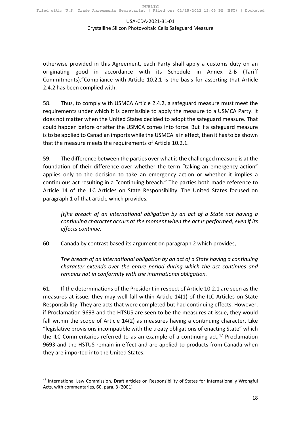otherwise provided in this Agreement, each Party shall apply a customs duty on an originating good in accordance with its Schedule in Annex 2-B (Tariff Commitments)."Compliance with Article 10.2.1 is the basis for asserting that Article 2.4.2 has been complied with.

58. Thus, to comply with USMCA Article 2.4.2, a safeguard measure must meet the requirements under which it is permissible to apply the measure to a USMCA Party. It does not matter when the United States decided to adopt the safeguard measure. That could happen before or after the USMCA comes into force. But if a safeguard measure is to be applied to Canadian imports while the USMCA is in effect, then it has to be shown that the measure meets the requirements of Article 10.2.1.

59. The difference between the parties over what is the challenged measure is at the foundation of their difference over whether the term "taking an emergency action" applies only to the decision to take an emergency action or whether it implies a continuous act resulting in a "continuing breach." The parties both made reference to Article 14 of the ILC Articles on State Responsibility. The United States focused on paragraph 1 of that article which provides,

*[t]he breach of an international obligation by an act of a State not having a continuing character occurs at the moment when the act is performed, even if its effects continue.* 

60. Canada by contrast based its argument on paragraph 2 which provides,

*The breach of an international obligation by an act of a State having a continuing character extends over the entire period during which the act continues and remains not in conformity with the international obligation.*

61. If the determinations of the President in respect of Article 10.2.1 are seen as the measures at issue, they may well fall within Article 14(1) of the ILC Articles on State Responsibility. They are acts that were completed but had continuing effects. However, if Proclamation 9693 and the HTSUS are seen to be the measures at issue, they would fall within the scope of Article 14(2) as measures having a continuing character. Like "legislative provisions incompatible with the treaty obligations of enacting State" which the ILC Commentaries referred to as an example of a continuing  $act<sub>1</sub><sup>47</sup>$  $act<sub>1</sub><sup>47</sup>$  $act<sub>1</sub><sup>47</sup>$  Proclamation 9693 and the HSTUS remain in effect and are applied to products from Canada when they are imported into the United States.

<span id="page-17-0"></span><sup>&</sup>lt;sup>47</sup> International Law Commission, Draft articles on Responsibility of States for Internationally Wrongful Acts, with commentaries, 60, para. 3 (2001)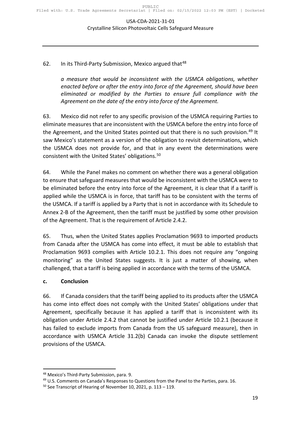#### 62. In its Third-Party Submission, Mexico argued that<sup>[48](#page-18-1)</sup>

*a measure that would be inconsistent with the USMCA obligations, whether enacted before or after the entry into force of the Agreement, should have been eliminated or modified by the Parties to ensure full compliance with the Agreement on the date of the entry into force of the Agreement.* 

63. Mexico did not refer to any specific provision of the USMCA requiring Parties to eliminate measures that are inconsistent with the USMCA before the entry into force of the Agreement, and the United States pointed out that there is no such provision.<sup>[49](#page-18-2)</sup> It saw Mexico's statement as a version of the obligation to revisit determinations, which the USMCA does not provide for, and that in any event the determinations were consistent with the United States' obligations.<sup>[50](#page-18-3)</sup>

64. While the Panel makes no comment on whether there was a general obligation to ensure that safeguard measures that would be inconsistent with the USMCA were to be eliminated before the entry into force of the Agreement, it is clear that if a tariff is applied while the USMCA is in force, that tariff has to be consistent with the terms of the USMCA. If a tariff is applied by a Party that is not in accordance with its Schedule to Annex 2-B of the Agreement, then the tariff must be justified by some other provision of the Agreement. That is the requirement of Article 2.4.2.

65. Thus, when the United States applies Proclamation 9693 to imported products from Canada after the USMCA has come into effect, it must be able to establish that Proclamation 9693 complies with Article 10.2.1. This does not require any "ongoing monitoring" as the United States suggests. It is just a matter of showing, when challenged, that a tariff is being applied in accordance with the terms of the USMCA.

#### <span id="page-18-0"></span>**c. Conclusion**

66. If Canada considers that the tariff being applied to its products after the USMCA has come into effect does not comply with the United States' obligations under that Agreement, specifically because it has applied a tariff that is inconsistent with its obligation under Article 2.4.2 that cannot be justified under Article 10.2.1 (because it has failed to exclude imports from Canada from the US safeguard measure), then in accordance with USMCA Article 31.2(b) Canada can invoke the dispute settlement provisions of the USMCA.

<span id="page-18-1"></span><sup>48</sup> Mexico's Third-Party Submission, para. 9.

<span id="page-18-2"></span><sup>&</sup>lt;sup>49</sup> U.S. Comments on Canada's Responses to Questions from the Panel to the Parties, para. 16.

<span id="page-18-3"></span> $50$  See Transcript of Hearing of November 10, 2021, p. 113 - 119.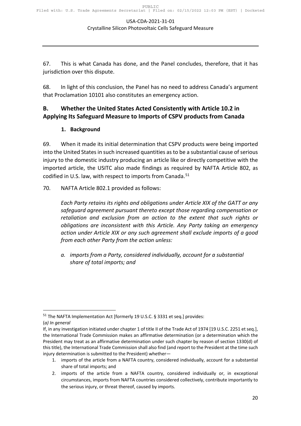67. This is what Canada has done, and the Panel concludes, therefore, that it has jurisdiction over this dispute.

68. In light of this conclusion, the Panel has no need to address Canada's argument that Proclamation 10101 also constitutes an emergency action.

#### <span id="page-19-1"></span><span id="page-19-0"></span>**B. Whether the United States Acted Consistently with Article 10.2 in Applying Its Safeguard Measure to Imports of CSPV products from Canada**

#### **1. Background**

69. When it made its initial determination that CSPV products were being imported into the United States in such increased quantities as to be a substantial cause of serious injury to the domestic industry producing an article like or directly competitive with the imported article, the USITC also made findings as required by NAFTA Article 802, as codified in U.S. law, with respect to imports from Canada.<sup>51</sup>

70. NAFTA Article 802.1 provided as follows:

*Each Party retains its rights and obligations under Article XIX of the GATT or any safeguard agreement pursuant thereto except those regarding compensation or retaliation and exclusion from an action to the extent that such rights or obligations are inconsistent with this Article. Any Party taking an emergency action under Article XIX or any such agreement shall exclude imports of a good from each other Party from the action unless:*

*a. imports from a Party, considered individually, account for a substantial share of total imports; and*

<span id="page-19-2"></span><sup>&</sup>lt;sup>51</sup> The NAFTA Implementation Act [formerly 19 U.S.C. § 3331 et seq.] provides:

<sup>(</sup>*a) In general*

If, in any investigation initiated under chapter 1 of title II of the Trade Act of 1974 [19 U.S.C. 2251 et seq.], the International Trade Commission makes an affirmative determination (or a determination which the President may treat as an affirmative determination under such chapter by reason of section 1330(d) of this title), the International Trade Commission shall also find (and report to the President at the time such injury determination is submitted to the President) whether—

<sup>1.</sup> imports of the article from a NAFTA country, considered individually, account for a substantial share of total imports; and

<sup>2.</sup> imports of the article from a NAFTA country, considered individually or, in exceptional circumstances, imports from NAFTA countries considered collectively, contribute importantly to the serious injury, or threat thereof, caused by imports.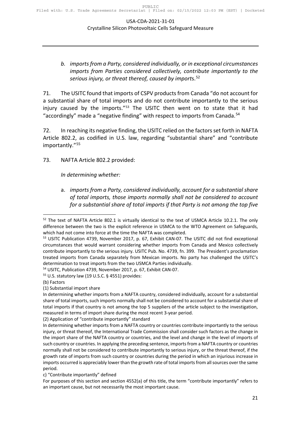#### *b. imports from a Party, considered individually, or in exceptional circumstances imports from Parties considered collectively, contribute importantly to the serious injury, or threat thereof, caused by import*s.[52](#page-20-0)

71. The USITC found that imports of CSPV products from Canada "do not account for a substantial share of total imports and do not contribute importantly to the serious injury caused by the imports."<sup>[53](#page-20-1)</sup> The USITC then went on to state that it had "accordingly" made a "negative finding" with respect to imports from Canada.<sup>[54](#page-20-2)</sup>

72. In reaching its negative finding, the USITC relied on the factors set forth in NAFTA Article 802.2, as codified in U.S. law, regarding "substantial share" and "contribute importantly."[55](#page-20-3)

73. NAFTA Article 802.2 provided:

*In determining whether:*

a. *imports from a Party, considered individually, account for a substantial share of total imports, those imports normally shall not be considered to account for a substantial share of total imports if that Party is not among the top five* 

<span id="page-20-0"></span><sup>&</sup>lt;sup>52</sup> The text of NAFTA Article 802.1 is virtually identical to the text of USMCA Article 10.2.1. The only difference between the two is the explicit reference in USMCA to the WTO Agreement on Safeguards,

<span id="page-20-1"></span>which had not come into force at the time the NAFTA was completed.<br><sup>53</sup> USITC Publication 4739, November 2017, p. 67, Exhibit CAN-07. The USITC did not find exceptional circumstances that would warrant considering whether imports from Canada and Mexico collectively contribute importantly to the serious injury. USITC Pub. No. 4739, fn. 399. The President's proclamation treated imports from Canada separately from Mexican imports. No party has challenged the USITC's determination to treat imports from the two USMCA Parties individually.

<span id="page-20-2"></span><sup>54</sup> USITC, Publication 4739, November 2017, p. 67, Exhibit CAN-07.

<span id="page-20-3"></span><sup>55</sup> U.S. statutory law (19 U.S.C. § 4551) provides:

<sup>(</sup>b) Factors

<sup>(1)</sup> Substantial import share

In determining whether imports from a NAFTA country, considered individually, account for a substantial share of total imports, such imports normally shall not be considered to account for a substantial share of total imports if that country is not among the top 5 suppliers of the article subject to the investigation, measured in terms of import share during the most recent 3-year period.

<sup>(2)</sup> Application of "contribute importantly" standard

In determining whether imports from a NAFTA country or countries contribute importantly to the serious injury, or threat thereof, the International Trade Commission shall consider such factors as the change in the import share of the NAFTA country or countries, and the level and change in the level of imports of such country or countries. In applying the preceding sentence, imports from a NAFTA country or countries normally shall not be considered to contribute importantly to serious injury, or the threat thereof, if the growth rate of imports from such country or countries during the period in which an injurious increase in imports occurred is appreciably lower than the growth rate of total imports from all sources over the same period.

c) "Contribute importantly" defined

For purposes of this section and section 4552(a) of this title, the term "contribute importantly" refers to an important cause, but not necessarily the most important cause.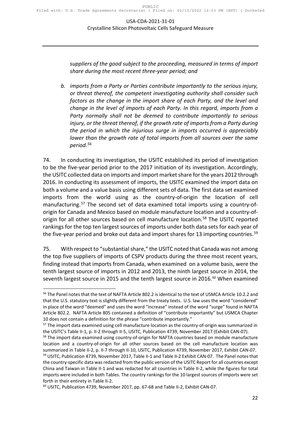*suppliers of the good subject to the proceeding, measured in terms of import share during the most recent three-year period; and*

*b. imports from a Party or Parties contribute importantly to the serious injury, or threat thereof, the competent investigating authority shall consider such factors as the change in the import share of each Party, and the level and change in the level of imports of each Party. In this regard, imports from a Party normally shall not be deemed to contribute importantly to serious*  injury, or the threat thereof, if the growth rate of imports from a Party during *the period in which the injurious surge in imports occurred is appreciably lower than the growth rate of total imports from all sources over the same period.[56](#page-21-0)*

74. In conducting its investigation, the USITC established its period of investigation to be the five-year period prior to the 2017 initiation of its investigation. Accordingly, the USITC collected data on imports and import market share for the years 2012 through 2016. In conducting its assessment of imports, the USITC examined the import data on both a volume and a value basis using different sets of data. The first data set examined imports from the world using as the country-of-origin the location of cell manufacturing.<sup>[57](#page-21-1)</sup> The second set of data examined total imports using a country-oforigin for Canada and Mexico based on module manufacture location and a country-of-origin for all other sources based on cell manufacture location.<sup>[58](#page-21-2)</sup> The USITC reported rankings for the top ten largest sources of imports under both data sets for each year of the five-year period and broke out data and import shares for 13 importing countries.<sup>[59](#page-21-3)</sup>

75. With respect to "substantial share," the USITC noted that Canada was not among the top five suppliers of imports of CSPV products during the three most recent years, finding instead that imports from Canada, when examined on a volume basis, were the tenth largest source of imports in 2012 and 2013, the ninth largest source in 2014, the seventh largest source in 2015 and the tenth largest source in 2016.<sup>[60](#page-21-4)</sup> When examined

<span id="page-21-0"></span><sup>&</sup>lt;sup>56</sup> The Panel notes that the text of NAFTA Article 802.2 is identical to the text of USMCA Article 10.2.2 and that the U.S. statutory text is slightly different from the treaty texts. U.S. law uses the word "considered" in place of the word "deemed" and uses the word "increase" instead of the word "surge" found in NAFTA Article 802.2. NAFTA Article 805 contained a definition of "contribute importantly" but USMCA Chapter 10 does not contain a definition for the phrase "contribute importantly."

<span id="page-21-1"></span><sup>&</sup>lt;sup>57</sup> The import data examined using cell manufacture location as the country-of-origin was summarized in the USITC's Table II-1, p. II-2 through II-5, USITC, Publication 4739, November 2017 (Exhibit CAN-07).

<span id="page-21-2"></span><sup>&</sup>lt;sup>58</sup> The import data examined using country-of-origin for NAFTA countries based on module manufacture location and a country-of-origin for all other sources based on the cell manufacture location was summarized in Table II-2, p. II-7 through II-10, USITC, Publication 4739, November 2017, Exhibit CAN-07.

<span id="page-21-3"></span><sup>&</sup>lt;sup>59</sup> USITC, Publication 4739, November 2017, Table II-1 and Table II-2 Exhibit CAN-07. The Panel notes that the country-specific data was redacted from the public version of the USITC Report for all countries except China and Taiwan in Table II-1 and was redacted for all countries in Table II-2, while the figures for total imports were included in both Tables. The country rankings for the 10 largest sources of imports were set forth in their entirety in Table II-2.

<span id="page-21-4"></span><sup>60</sup> USITC, Publication 4739, November 2017, pp. 67-68 and Table II-2, Exhibit CAN-07.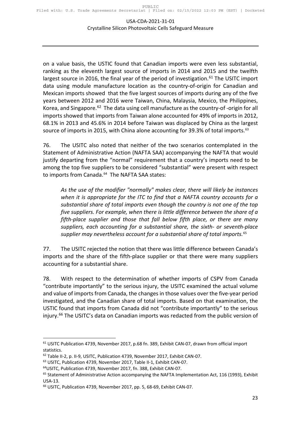on a value basis, the USTIC found that Canadian imports were even less substantial, ranking as the eleventh largest source of imports in 2014 and 2015 and the twelfth largest source in 2016, the final year of the period of investigation.<sup>[61](#page-22-0)</sup> The USITC import data using module manufacture location as the country-of-origin for Canadian and Mexican imports showed that the five largest sources of imports during any of the five years between 2012 and 2016 were Taiwan, China, Malaysia, Mexico, the Philippines, Korea, and Singapore.<sup>[62](#page-22-1)</sup> The data using cell manufacture as the country-of-origin for all imports showed that imports from Taiwan alone accounted for 49% of imports in 2012, 68.1% in 2013 and 45.6% in 2014 before Taiwan was displaced by China as the largest source of imports in 2015, with China alone accounting for 39.3% of total imports.<sup>[63](#page-22-2)</sup>

76. The USITC also noted that neither of the two scenarios contemplated in the Statement of Administrative Action (NAFTA SAA) accompanying the NAFTA that would justify departing from the "normal" requirement that a country's imports need to be among the top five suppliers to be considered "substantial" were present with respect to imports from Canada.<sup>[64](#page-22-3)</sup> The NAFTA SAA states:

*As the use of the modifier "normally" makes clear, there will likely be instances when it is appropriate for the ITC to find that a NAFTA country accounts for a substantial share of total imports even though the country is not one of the top five suppliers. For example, when there is little difference between the share of a fifth-place supplier and those that fall below fifth place, or there are many suppliers, each accounting for a substantial share, the sixth- or seventh-place supplier may nevertheless account for a substantial share of total imports.*[65](#page-22-4)

77. The USITC rejected the notion that there was little difference between Canada's imports and the share of the fifth-place supplier or that there were many suppliers accounting for a substantial share.

78. With respect to the determination of whether imports of CSPV from Canada "contribute importantly" to the serious injury, the USITC examined the actual volume and value of imports from Canada, the changes in those values over the five-year period investigated, and the Canadian share of total imports. Based on that examination, the USTIC found that imports from Canada did not "contribute importantly" to the serious injury.<sup>[66](#page-22-5)</sup> The USITC's data on Canadian imports was redacted from the public version of

<span id="page-22-0"></span> $61$  USITC Publication 4739, November 2017, p.68 fn. 389, Exhibit CAN-07, drawn from official import statistics.

<span id="page-22-1"></span><sup>62</sup> Table II-2, p. II-9, USITC, Publication 4739, November 2017, Exhibit CAN-07.

<span id="page-22-2"></span><sup>63</sup> USITC, Publication 4739, November 2017, Table II-1, Exhibit CAN-07.

<span id="page-22-3"></span><sup>64</sup>USITC, Publication 4739, November 2017, fn. 388, Exhibit CAN-07.

<span id="page-22-4"></span><sup>&</sup>lt;sup>65</sup> Statement of Administrative Action accompanying the NAFTA Implementation Act, 116 (1993), Exhibit

<span id="page-22-5"></span>USA-13.<br><sup>66</sup> USITC, Publication 4739, November 2017, pp. 5, 68-69, Exhibit CAN-07.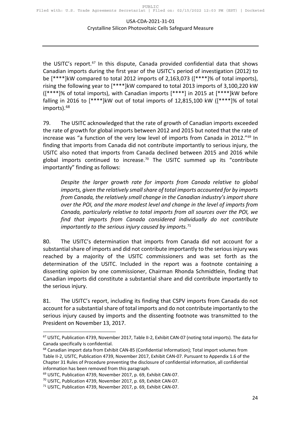the USITC's report.<sup>[67](#page-23-0)</sup> In this dispute, Canada provided confidential data that shows Canadian imports during the first year of the USITC's period of investigation (2012) to be [\*\*\*\*]kW compared to total 2012 imports of 2,163,073 ([\*\*\*\*]% of total imports), rising the following year to [\*\*\*\*]kW compared to total 2013 imports of 3,100,220 kW ([\*\*\*\*]% of total imports), with Canadian imports [\*\*\*\*] in 2015 at [\*\*\*\*]kW before falling in 2016 to [\*\*\*\*]kW out of total imports of 12,815,100 kW ([\*\*\*\*]% of total imports).<sup>[68](#page-23-1)</sup>

79. The USITC acknowledged that the rate of growth of Canadian imports exceeded the rate of growth for global imports between 2012 and 2015 but noted that the rate of increase was "a function of the very low level of imports from Canada in 2012."<sup>[69](#page-23-2)</sup> In finding that imports from Canada did not contribute importantly to serious injury, the USITC also noted that imports from Canada declined between 2015 and 2016 while global imports continued to increase.<sup>[70](#page-23-3)</sup> The USITC summed up its "contribute importantly" finding as follows:

*Despite the larger growth rate for imports from Canada relative to global imports, given the relatively small share of total imports accounted for by imports from Canada, the relatively small change in the Canadian industry's import share over the POI, and the more modest level and change in the level of imports from Canada, particularly relative to total imports from all sources over the POI, we find that imports from Canada considered individually do not contribute importantly to the serious injury caused by imports.*[71](#page-23-4)

80. The USITC's determination that imports from Canada did not account for a substantial share of imports and did not contribute importantly to the serious injury was reached by a majority of the USITC commissioners and was set forth as the determination of the USITC. Included in the report was a footnote containing a dissenting opinion by one commissioner, Chairman Rhonda Schmidtlein, finding that Canadian imports did constitute a substantial share and did contribute importantly to the serious injury.

81. The USITC's report, including its finding that CSPV imports from Canada do not account for a substantial share of total imports and do not contribute importantly to the serious injury caused by imports and the dissenting footnote was transmitted to the President on November 13, 2017.

<span id="page-23-0"></span><sup>67</sup> USITC, Publication 4739, November 2017, Table II-2, Exhibit CAN-07 (noting total imports). The data for Canada specifically is confidential.

<span id="page-23-1"></span><sup>&</sup>lt;sup>68</sup> Canadian import data from Exhibit CAN-85 (Confidential Information); Total import volumes from Table II-2, USITC, Publication 4739, November 2017, Exhibit CAN-07. Pursuant to Appendix 1.6 of the Chapter 31 Rules of Procedure preventing the disclosure of confidential information, all confidential information has been removed from this paragraph.

<span id="page-23-2"></span><sup>69</sup> USITC, Publication 4739, November 2017, p. 69, Exhibit CAN-07.

<span id="page-23-3"></span><sup>70</sup> USITC, Publication 4739, November 2017, p. 69, Exhibit CAN-07.

<span id="page-23-4"></span><sup>71</sup> USITC, Publication 4739, November 2017, p. 69, Exhibit CAN-07.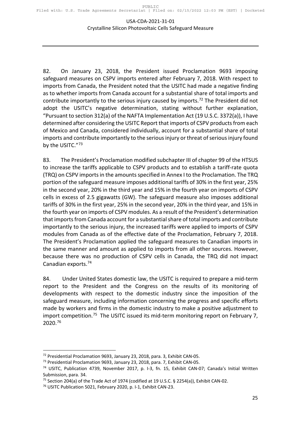82. On January 23, 2018, the President issued Proclamation 9693 imposing safeguard measures on CSPV imports entered after February 7, 2018. With respect to imports from Canada, the President noted that the USITC had made a negative finding as to whether imports from Canada account for a substantial share of total imports and contribute importantly to the serious injury caused by imports.<sup>[72](#page-24-0)</sup> The President did not adopt the USITC's negative determination, stating without further explanation, "Pursuant to section 312(a) of the NAFTA Implementation Act (19 U.S.C. 3372(a)), I have determined after considering the USITC Report that imports of CSPV products from each of Mexico and Canada, considered individually, account for a substantial share of total imports and contribute importantly to the serious injury or threat of serious injury found by the USITC."[73](#page-24-1)

83. The President's Proclamation modified subchapter III of chapter 99 of the HTSUS to increase the tariffs applicable to CSPV products and to establish a tariff-rate quota (TRQ) on CSPV imports in the amounts specified in Annex I to the Proclamation. The TRQ portion of the safeguard measure imposes additional tariffs of 30% in the first year, 25% in the second year, 20% in the third year and 15% in the fourth year on imports of CSPV cells in excess of 2.5 gigawatts (GW). The safeguard measure also imposes additional tariffs of 30% in the first year, 25% in the second year, 20% in the third year, and 15% in the fourth year on imports of CSPV modules. As a result of the President's determination that imports from Canada account for a substantial share of total imports and contribute importantly to the serious injury, the increased tariffs were applied to imports of CSPV modules from Canada as of the effective date of the Proclamation, February 7, 2018. The President's Proclamation applied the safeguard measures to Canadian imports in the same manner and amount as applied to imports from all other sources. However, because there was no production of CSPV cells in Canada, the TRQ did not impact Canadian exports.[74](#page-24-2)

84. Under United States domestic law, the USITC is required to prepare a mid-term report to the President and the Congress on the results of its monitoring of developments with respect to the domestic industry since the imposition of the safeguard measure, including information concerning the progress and specific efforts made by workers and firms in the domestic industry to make a positive adjustment to import competition.<sup>[75](#page-24-3)</sup> The USITC issued its mid-term monitoring report on February 7, 2020.[76](#page-24-4)

<span id="page-24-0"></span><sup>72</sup> Presidential Proclamation 9693, January 23, 2018, para. 3, Exhibit CAN-05.

<span id="page-24-1"></span><sup>73</sup> Presidential Proclamation 9693, January 23, 2018, para. 7, Exhibit CAN-05.

<span id="page-24-2"></span><sup>74</sup> USITC, Publication 4739, November 2017, p. I-3, fn. 15, Exhibit CAN-07; Canada's Initial Written Submission, para. 34.

<sup>&</sup>lt;sup>75</sup> Section 204(a) of the Trade Act of 1974 (codified at 19 U.S.C. § 2254(a)), Exhibit CAN-02.

<span id="page-24-4"></span><span id="page-24-3"></span><sup>76</sup> USITC Publication 5021, February 2020, p. I-1, Exhibit CAN-23.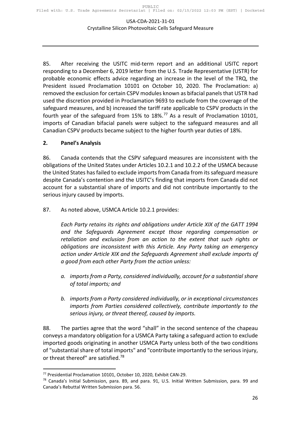85. After receiving the USITC mid-term report and an additional USITC report responding to a December 6, 2019 letter from the U.S. Trade Representative (USTR) for probable economic effects advice regarding an increase in the level of the TRQ, the President issued Proclamation 10101 on October 10, 2020. The Proclamation: a) removed the exclusion for certain CSPV modules known as bifacial panels that USTR had used the discretion provided in Proclamation 9693 to exclude from the coverage of the safeguard measures, and b) increased the tariff rate applicable to CSPV products in the fourth year of the safeguard from 15% to 18%.[77](#page-25-1) As a result of Proclamation 10101, imports of Canadian bifacial panels were subject to the safeguard measures and all Canadian CSPV products became subject to the higher fourth year duties of 18%.

#### <span id="page-25-0"></span>**2. Panel's Analysis**

86. Canada contends that the CSPV safeguard measures are inconsistent with the obligations of the United States under Articles 10.2.1 and 10.2.2 of the USMCA because the United States has failed to exclude imports from Canada from its safeguard measure despite Canada's contention and the USITC's finding that imports from Canada did not account for a substantial share of imports and did not contribute importantly to the serious injury caused by imports.

87. As noted above, USMCA Article 10.2.1 provides:

*Each Party retains its rights and obligations under Article XIX of the GATT 1994 and the Safeguards Agreement except those regarding compensation or retaliation and exclusion from an action to the extent that such rights or obligations are inconsistent with this Article. Any Party taking an emergency action under Article XIX and the Safeguards Agreement shall exclude imports of a good from each other Party from the action unless:*

- *a. imports from a Party, considered individually, account for a substantial share of total imports; and*
- *b. imports from a Party considered individually, or in exceptional circumstances imports from Parties considered collectively, contribute importantly to the serious injury, or threat thereof, caused by imports.*

88. The parties agree that the word "shall" in the second sentence of the chapeau conveys a mandatory obligation for a USMCA Party taking a safeguard action to exclude imported goods originating in another USMCA Party unless both of the two conditions of "substantial share of total imports" and "contribute importantly to the serious injury, or threat thereof" are satisfied.<sup>[78](#page-25-2)</sup>

<span id="page-25-1"></span><sup>77</sup> Presidential Proclamation 10101, October 10, 2020, Exhibit CAN-29.

<span id="page-25-2"></span> $78$  Canada's Initial Submission, para. 89, and para. 91, U.S. Initial Written Submission, para. 99 and Canada's Rebuttal Written Submission para. 56.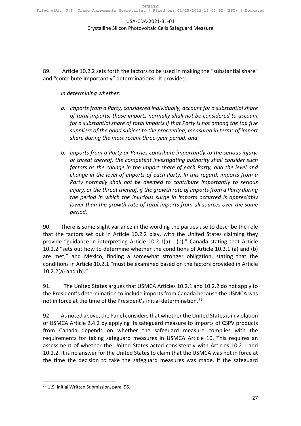89. Article 10.2.2 sets forth the factors to be used in making the "substantial share" and "contribute importantly" determinations. It provides:

*In determining whether:*

- *a. imports from a Party, considered individually, account for a substantial share of total imports, those imports normally shall not be considered to account for a substantial share of total imports if that Party is not among the top five suppliers of the good subject to the proceeding, measured in terms of import share during the most recent three-year period; and*
- *b. imports from a Party or Parties contribute importantly to the serious injury, or threat thereof, the competent investigating authority shall consider such factors as the change in the import share of each Party, and the level and change in the level of imports of each Party. In this regard, imports from a Party normally shall not be deemed to contribute importantly to serious*  injury, or the threat thereof, if the growth rate of imports from a Party during *the period in which the injurious surge in imports occurred is appreciably lower than the growth rate of total imports from all sources over the same period.*

90. There is some slight variance in the wording the parties use to describe the role that the factors set out in Article 10.2.2 play, with the United States claiming they provide "guidance in interpreting Article 10.2.1(a) - (b)," Canada stating that Article 10.2.2 "sets out how to determine whether the conditions of Article 10.2.1 (a) and (b) are met," and Mexico, finding a somewhat stronger obligation, stating that the conditions in Article 10.2.1 "must be examined based on the factors provided in Article 10.2.2(a) and (b)."

91. The United States argues that USMCA Articles 10.2.1 and 10.2.2 do not apply to the President's determination to include imports from Canada because the USMCA was not in force at the time of the President's initial determination.<sup>[79](#page-26-0)</sup>

92. As noted above, the Panel considers that whether the United States is in violation of USMCA Article 2.4.2 by applying its safeguard measure to imports of CSPV products from Canada depends on whether the safeguard measure complies with the requirements for taking safeguard measures in USMCA Article 10. This requires an assessment of whether the United States acted consistently with Articles 10.2.1 and 10.2.2. It is no answer for the United States to claim that the USMCA was not in force at the time the decision to take the safeguard measures was made. If the safeguard

<span id="page-26-0"></span><sup>79</sup> U.S. Initial Written Submission, para. 96.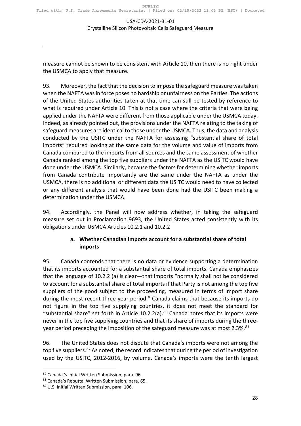measure cannot be shown to be consistent with Article 10, then there is no right under the USMCA to apply that measure.

93. Moreover, the fact that the decision to impose the safeguard measure was taken when the NAFTA was in force poses no hardship or unfairness on the Parties. The actions of the United States authorities taken at that time can still be tested by reference to what is required under Article 10. This is not a case where the criteria that were being applied under the NAFTA were different from those applicable under the USMCA today. Indeed, as already pointed out, the provisions under the NAFTA relating to the taking of safeguard measures are identical to those under the USMCA. Thus, the data and analysis conducted by the USITC under the NAFTA for assessing "substantial share of total imports" required looking at the same data for the volume and value of imports from Canada compared to the imports from all sources and the same assessment of whether Canada ranked among the top five suppliers under the NAFTA as the USITC would have done under the USMCA. Similarly, because the factors for determining whether imports from Canada contribute importantly are the same under the NAFTA as under the USMCA, there is no additional or different data the USITC would need to have collected or any different analysis that would have been done had the USITC been making a determination under the USMCA.

<span id="page-27-0"></span>94. Accordingly, the Panel will now address whether, in taking the safeguard measure set out in Proclamation 9693, the United States acted consistently with its obligations under USMCA Articles 10.2.1 and 10.2.2

#### **a. Whether Canadian imports account for a substantial share of total imports**

95. Canada contends that there is no data or evidence supporting a determination that its imports accounted for a substantial share of total imports. Canada emphasizes that the language of 10.2.2 (a) is clear—that imports "normally shall not be considered to account for a substantial share of total imports if that Party is not among the top five suppliers of the good subject to the proceeding, measured in terms of import share during the most recent three-year period." Canada claims that because its imports do not figure in the top five supplying countries, it does not meet the standard for "substantial share" set forth in Article  $10.2.2(a)$ .<sup>[80](#page-27-1)</sup> Canada notes that its imports were never in the top five supplying countries and that its share of imports during the three-year period preceding the imposition of the safeguard measure was at most 2.3%.<sup>[81](#page-27-2)</sup>

96. The United States does not dispute that Canada's imports were not among the top five suppliers.<sup>[82](#page-27-3)</sup> As noted, the record indicates that during the period of investigation used by the USITC, 2012-2016, by volume, Canada's imports were the tenth largest

<span id="page-27-1"></span><sup>&</sup>lt;sup>80</sup> Canada 's Initial Written Submission, para. 96.<br><sup>81</sup> Canada's Rebuttal Written Submission, para. 65.

<span id="page-27-2"></span>

<span id="page-27-3"></span><sup>82</sup> U.S. Initial Written Submission, para. 106.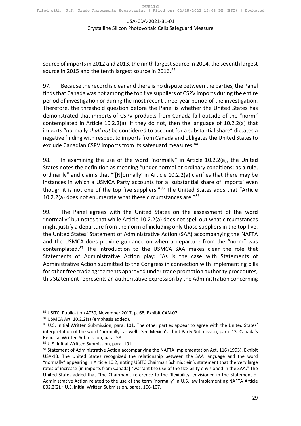source of imports in 2012 and 2013, the ninth largest source in 2014, the seventh largest source in 2015 and the tenth largest source in 2016.<sup>[83](#page-28-0)</sup>

97. Because the record is clear and there is no dispute between the parties, the Panel finds that Canada was not among the top five suppliers of CSPV imports during the entire period of investigation or during the most recent three-year period of the investigation. Therefore, the threshold question before the Panel is whether the United States has demonstrated that imports of CSPV products from Canada fall outside of the "norm" contemplated in Article 10.2.2(a). If they do not, then the language of 10.2.2(a) that imports "normally *shall not* be considered to account for a substantial share" dictates a negative finding with respect to imports from Canada and obligates the United States to exclude Canadian CSPV imports from its safeguard measures.<sup>[84](#page-28-1)</sup>

98. In examining the use of the word "normally" in Article 10.2.2(a), the United States notes the definition as meaning "under normal or ordinary conditions; as a rule, ordinarily" and claims that "'[N]ormally' in Article 10.2.2(a) clarifies that there may be instances in which a USMCA Party accounts for a 'substantial share of imports' even though it is not one of the top five suppliers."<sup>[85](#page-28-2)</sup> The United States adds that "Article 10.2.2(a) does not enumerate what these circumstances are." $86$ 

99. The Panel agrees with the United States on the assessment of the word "normally" but notes that while Article 10.2.2(a) does not spell out what circumstances might justify a departure from the norm of including only those suppliers in the top five, the United States' Statement of Administrative Action (SAA) accompanying the NAFTA and the USMCA does provide guidance on when a departure from the "norm" was contemplated.[87](#page-28-4) The introduction to the USMCA SAA makes clear the role that Statements of Administrative Action play: "As is the case with Statements of Administrative Action submitted to the Congress in connection with implementing bills for other free trade agreements approved under trade promotion authority procedures, this Statement represents an authoritative expression by the Administration concerning

<span id="page-28-0"></span><sup>83</sup> USITC, Publication 4739, November 2017, p. 68, Exhibit CAN-07.

<span id="page-28-1"></span><sup>84</sup> USMCA Art. 10.2.2(a) (emphasis added).

<span id="page-28-2"></span><sup>85</sup> U.S. Initial Written Submission, para. 101. The other parties appear to agree with the United States' interpretation of the word "normally" as well. See Mexico's Third Party Submission, para. 13; Canada's Rebuttal Written Submission, para. 58

<span id="page-28-3"></span><sup>86</sup> U.S. Initial Written Submission, para. 101.

<span id="page-28-4"></span><sup>87</sup> Statement of Administrative Action accompanying the NAFTA Implementation Act, 116 (1993), Exhibit USA-13. The United States recognized the relationship between the SAA language and the word "normally" appearing in Article 10.2, noting USITC Chairman Schmidtlein's statement that the very large rates of increase [in imports from Canada] "warrant the use of the flexibility envisioned in the SAA." The United States added that "the Chairman's reference to the 'flexibility' envisioned in the Statement of Administrative Action related to the use of the term 'normally' in U.S. law implementing NAFTA Article 802.2(2)." U.S. Initial Written Submission, paras. 106-107.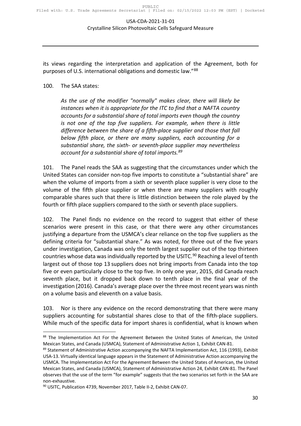its views regarding the interpretation and application of the Agreement, both for purposes of U.S. international obligations and domestic law."[88](#page-29-0)

#### 100. The SAA states:

*As the use of the modifier "normally" makes clear, there will likely be instances when it is appropriate for the ITC to find that a NAFTA country accounts for a substantial share of total imports even though the country is not one of the top five suppliers. For example, when there is little difference between the share of a fifth-place supplier and those that fall below fifth place, or there are many suppliers, each accounting for a substantial share, the sixth- or seventh-place supplier may nevertheless account for a substantial share of total imports.[89](#page-29-1)*

101. The Panel reads the SAA as suggesting that the circumstances under which the United States can consider non-top five imports to constitute a "substantial share" are when the volume of imports from a sixth or seventh place supplier is very close to the volume of the fifth place supplier or when there are many suppliers with roughly comparable shares such that there is little distinction between the role played by the fourth or fifth place suppliers compared to the sixth or seventh place suppliers.

102. The Panel finds no evidence on the record to suggest that either of these scenarios were present in this case, or that there were any other circumstances justifying a departure from the USMCA's clear reliance on the top five suppliers as the defining criteria for "substantial share." As was noted, for three out of the five years under investigation, Canada was only the tenth largest supplier out of the top thirteen countries whose data was individually reported by the USITC.<sup>[90](#page-29-2)</sup> Reaching a level of tenth largest out of those top 13 suppliers does not bring imports from Canada into the top five or even particularly close to the top five. In only one year, 2015, did Canada reach seventh place, but it dropped back down to tenth place in the final year of the investigation (2016). Canada's average place over the three most recent years was ninth on a volume basis and eleventh on a value basis.

103. Nor is there any evidence on the record demonstrating that there were many suppliers accounting for substantial shares close to that of the fifth-place suppliers. While much of the specific data for import shares is confidential, what is known when

<span id="page-29-0"></span><sup>88</sup> The Implementation Act For the Agreement Between the United States of American, the United Mexican States, and Canada (USMCA), Statement of Administrative Action 1, Exhibit CAN-81.

<span id="page-29-1"></span><sup>89</sup> Statement of Administrative Action accompanying the NAFTA Implementation Act, 116 (1993), Exhibit USA-13. Virtually identical language appears in the Statement of Administrative Action accompanying the USMCA. The Implementation Act For the Agreement Between the United States of American, the United Mexican States, and Canada (USMCA), Statement of Administrative Action 24, Exhibit CAN-81. The Panel observes that the use of the term "for example" suggests that the two scenarios set forth in the SAA are non-exhaustive.

<span id="page-29-2"></span><sup>&</sup>lt;sup>90</sup> USITC, Publication 4739, November 2017, Table II-2, Exhibit CAN-07.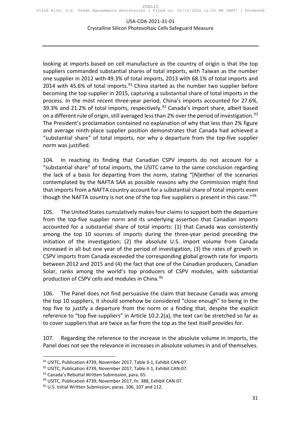looking at imports based on cell manufacture as the country of origin is that the top suppliers commanded substantial shares of total imports, with Taiwan as the number one supplier in 2012 with 49.3% of total imports, 2013 with 68.1% of total imports and 2014 with 45.6% of total imports. $91$  China started as the number two supplier before becoming the top supplier in 2015, capturing a substantial share of total imports in the process. In the most recent three-year period, China's imports accounted for 27.6%, 39.3% and 21.2% of total imports, respectively.<sup>[92](#page-30-1)</sup> Canada's import share, albeit based on a different rule of origin, still averaged less than 2% over the period of investigation.<sup>[93](#page-30-2)</sup> The President's proclamation contained no explanation of why that less than 2% figure and average ninth-place supplier position demonstrates that Canada had achieved a "substantial share" of total imports, nor why a departure from the top-five supplier norm was justified.

104. In reaching its finding that Canadian CSPV imports do not account for a "substantial share" of total imports, the USITC came to the same conclusion regarding the lack of a basis for departing from the norm, stating "[N]either of the scenarios contemplated by the NAFTA SAA as possible reasons why the Commission might find that imports from a NAFTA country account for a substantial share of total imports even though the NAFTA country is not one of the top five suppliers is present in this case."<sup>[94](#page-30-3)</sup>

105. The United States cumulatively makes four claims to support both the departure from the top-five supplier norm and its underlying assertion that Canadian imports accounted for a substantial share of total imports: (1) that Canada was consistently among the top 10 sources of imports during the three-year period preceding the initiation of the investigation; (2) the absolute U.S. import volume from Canada increased in all but one year of the period of investigation, (3) the rates of growth in CSPV imports from Canada exceeded the corresponding global growth rate for imports between 2012 and 2015 and (4) the fact that one of the Canadian producers, Canadian Solar, ranks among the world's top producers of CSPV modules, with substantial production of CSPV cells and modules in China.<sup>[95](#page-30-4)</sup>

106. The Panel does not find persuasive the claim that because Canada was among the top 10 suppliers, it should somehow be considered "close enough" to being in the top five to justify a departure from the norm or a finding that, despite the explicit reference to "top five suppliers" in Article 10.2.2(a), the text can be stretched so far as to cover suppliers that are twice as far from the top as the text itself provides for.

107. Regarding the reference to the increase in the absolute volume in imports, the Panel does not see the relevance in increases in absolute volumes in and of themselves.

<span id="page-30-0"></span><sup>91</sup> USITC, Publication 4739, November 2017, Table II-1, Exhibit CAN-07.

<span id="page-30-1"></span><sup>92</sup> USITC, Publication 4739, November 2017, Table II-1, Exhibit CAN-07.

<span id="page-30-2"></span><sup>93</sup> Canada's Rebuttal Written Submission, para. 65.

<sup>&</sup>lt;sup>94</sup> USITC, Publication 4739, November 2017, fn. 388, Exhibit CAN-07.

<span id="page-30-4"></span><span id="page-30-3"></span><sup>&</sup>lt;sup>95</sup> U.S. Initial Written Submission, paras. 106, 107 and 112.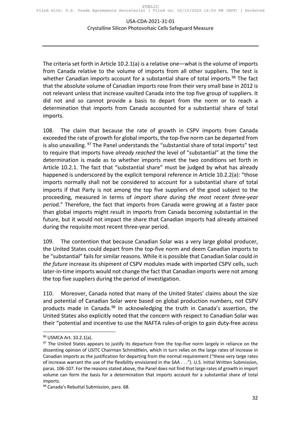The criteria set forth in Article 10.2.1(a) is a relative one—what is the volume of imports from Canada relative to the volume of imports from all other suppliers. The test is whether Canadian imports account for a substantial share of total imports.<sup>[96](#page-31-0)</sup> The fact that the absolute volume of Canadian imports rose from their very small base in 2012 is not relevant unless that increase vaulted Canada into the top five group of suppliers. It did not and so cannot provide a basis to depart from the norm or to reach a determination that imports from Canada accounted for a substantial share of total imports.

108. The claim that because the rate of growth in CSPV imports from Canada exceeded the rate of growth for global imports, the top-five norm can be departed from is also unavailing. <sup>[97](#page-31-1)</sup> The Panel understands the "substantial share of total imports" test to require that imports have *already reached* the level of "substantial" at the time the determination is made as to whether imports meet the two conditions set forth in Article 10.2.1. The fact that "substantial share" must be judged by what has already happened is underscored by the explicit temporal reference in Article 10.2.2(a): "those imports normally shall not be considered to account for a substantial share of total imports if that Party is not among the top five suppliers of the good subject to the proceeding, measured in terms of *import share during the most recent three-year perio*d." Therefore, the fact that imports from Canada were growing at a faster pace than global imports might result in imports from Canada becoming substantial in the future, but it would not impact the share that Canadian imports had already attained during the requisite most recent three-year period.

109. The contention that because Canadian Solar was a very large global producer, the United States could depart from the top-five norm and deem Canadian imports to be "substantial" fails for similar reasons. While it is possible that Canadian Solar could *in the future* increase its shipment of CSPV modules made with imported CSPV cells, such later-in-time imports would not change the fact that Canadian imports were not among the top five suppliers during the period of investigation.

110. Moreover, Canada noted that many of the United States' claims about the size and potential of Canadian Solar were based on global production numbers, not CSPV products made in Canada.<sup>[98](#page-31-2)</sup> In acknowledging the truth in Canada's assertion, the United States also explicitly noted that the concern with respect to Canadian Solar was their "potential and incentive to use the NAFTA rules-of-origin to gain duty-free access

<span id="page-31-0"></span><sup>&</sup>lt;sup>96</sup> USMCA Art. 10.2.1(a).

<span id="page-31-1"></span> $97$  The United States appears to justify its departure from the top-five norm largely in reliance on the dissenting opinion of USITC Chairman Schmidtlein, which in turn relies on the large rates of increase in Canadian imports as the justification for departing from the normal requirement ("these very large rates of increase warrant the use of the flexibility envisioned in the SAA . . ."). U.S. Initial Written Submission, paras. 106-107. For the reasons stated above, the Panel does not find that large rates of growth in import volume can form the basis for a determination that imports account for a substantial share of total imports.

<span id="page-31-2"></span><sup>98</sup> Canada's Rebuttal Submission, para. 68.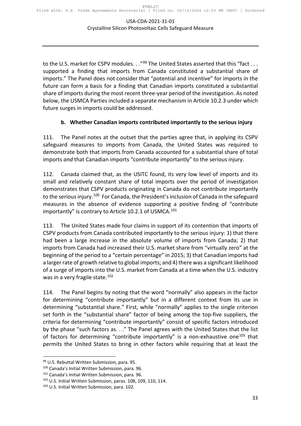to the U.S. market for CSPV modules. . ."<sup>[99](#page-32-1)</sup> The United States asserted that this "fact . . . supported a finding that imports from Canada constituted a substantial share of imports." The Panel does not consider that "potential and incentive" for imports in the future can form a basis for a finding that Canadian imports constituted a substantial share of imports during the most recent three-year period of the investigation. As noted below, the USMCA Parties included a separate mechanism in Article 10.2.3 under which future surges in imports could be addressed.

#### **b. Whether Canadian imports contributed importantly to the serious injury**

<span id="page-32-0"></span>111. The Panel notes at the outset that the parties agree that, in applying its CSPV safeguard measures to imports from Canada, the United States was required to demonstrate both that imports from Canada accounted for a substantial share of total imports *and* that Canadian imports "contribute importantly" to the serious injury.

112. Canada claimed that, as the USITC found, its very low level of imports and its small and relatively constant share of total imports over the period of investigation demonstrates that CSPV products originating in Canada do not contribute importantly to the serious injury.<sup>100</sup> For Canada, the President's inclusion of Canada in the safeguard measures in the absence of evidence supporting a positive finding of "contribute importantly" is contrary to Article 10.2.1 of USMCA.<sup>[101](#page-32-3)</sup>

113. The United States made four claims in support of its contention that imports of CSPV products from Canada contributed importantly to the serious injury: 1) that there had been a large increase in the absolute volume of imports from Canada; 2) that imports from Canada had increased their U.S. market share from "virtually zero" at the beginning of the period to a "certain percentage" in 2015; 3) that Canadian imports had a larger rate of growth relative to global imports; and 4) there was a significant likelihood of a surge of imports into the U.S. market from Canada at a time when the U.S. industry was in a very fragile state.<sup>[102](#page-32-4)</sup>

114. The Panel begins by noting that the word "normally" also appears in the factor for determining "contribute importantly" but in a different context from its use in determining "substantial share." First, while "normally" applies to the single criterion set forth in the "substantial share" factor of being among the top-five suppliers, the criteria for determining "contribute importantly" consist of specific factors introduced by the phase "such factors as. . ." The Panel agrees with the United States that the list of factors for determining "contribute importantly" is a non-exhaustive one<sup>[103](#page-32-5)</sup> that permits the United States to bring in other factors while requiring that at least the

<span id="page-32-1"></span><sup>99</sup> U.S. Rebuttal Written Submission, para. 95.

<span id="page-32-2"></span><sup>100</sup> Canada's Initial Written Submission, para. 96.

<span id="page-32-3"></span><sup>&</sup>lt;sup>101</sup> Canada's Initial Written Submission, para. 96.

<span id="page-32-4"></span><sup>102</sup> U.S. Initial Written Submission, paras. 108, 109, 110, 114.

<span id="page-32-5"></span><sup>103</sup> U.S. Initial Written Submission, para. 102.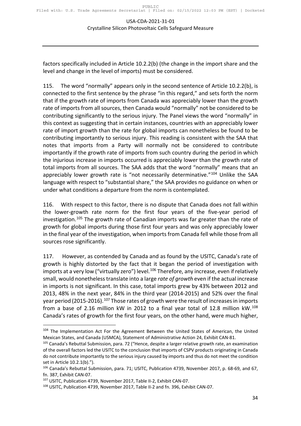factors specifically included in Article 10.2.2(b) (the change in the import share and the level and change in the level of imports) must be considered.

115. The word "normally" appears only in the second sentence of Article 10.2.2(b), is connected to the first sentence by the phrase "in this regard," and sets forth the norm that if the growth rate of imports from Canada was appreciably lower than the growth rate of imports from all sources, then Canada would "normally" not be considered to be contributing significantly to the serious injury. The Panel views the word "normally" in this context as suggesting that in certain instances, countries with an appreciably lower rate of import growth than the rate for global imports can nonetheless be found to be contributing importantly to serious injury. This reading is consistent with the SAA that notes that imports from a Party will normally not be considered to contribute importantly if the growth rate of imports from such country during the period in which the injurious increase in imports occurred is appreciably lower than the growth rate of total imports from all sources. The SAA adds that the word "normally" means that an appreciably lower growth rate is "not necessarily determinative."<sup>104</sup> Unlike the SAA language with respect to "substantial share," the SAA provides no guidance on when or under what conditions a departure from the norm is contemplated.

116. With respect to this factor, there is no dispute that Canada does not fall within the lower-growth rate norm for the first four years of the five-year period of investigation.<sup>[105](#page-33-1)</sup> The growth rate of Canadian imports was far greater than the rate of growth for global imports during those first four years and was only appreciably lower in the final year of the investigation, when imports from Canada fell while those from all sources rose significantly.

117. However, as contended by Canada and as found by the USITC, Canada's rate of growth is highly distorted by the fact that it began the period of investigation with imports at a very low ("virtually zero") level.<sup>[106](#page-33-2)</sup> Therefore, any increase, even if relatively small, would nonetheless translate into a large *rate of growth* even if the actual increase in imports is not significant. In this case, total imports grew by 43% between 2012 and 2013, 48% in the next year, 84% in the third year (2014-2015) and 52% over the final year period (2015-2016).<sup>[107](#page-33-3)</sup> Those rates of growth were the result of increases in imports from a base of 2.16 million kW in 2012 to a final year total of 12.8 million kW.<sup>[108](#page-33-4)</sup> Canada's rates of growth for the first four years, on the other hand, were much higher,

<span id="page-33-0"></span><sup>&</sup>lt;sup>104</sup> The Implementation Act For the Agreement Between the United States of American, the United Mexican States, and Canada (USMCA), Statement of Administrative Action 24, Exhibit CAN-81.

<span id="page-33-1"></span><sup>&</sup>lt;sup>105</sup> Canada's Rebuttal Submission, para. 72 ("Hence, despite a larger relative growth rate, an examination of the overall factors led the USITC to the conclusion that imports of CSPV products originating in Canada do not contribute importantly to the serious injury caused by imports and thus do not meet the condition set in Article 10.2.1(b).").

<span id="page-33-2"></span><sup>106</sup> Canada's Rebuttal Submission, para. 71; USITC, Publication 4739, November 2017, p. 68-69, and 67, fn. 387, Exhibit CAN-07.

<span id="page-33-3"></span><sup>107</sup> USITC, Publication 4739, November 2017, Table II-2, Exhibit CAN-07.

<span id="page-33-4"></span><sup>108</sup> USITC, Publication 4739, November 2017, Table II-2 and fn. 396, Exhibit CAN-07.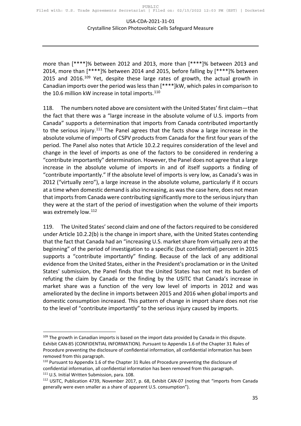more than [\*\*\*\*]% between 2012 and 2013, more than [\*\*\*\*]% between 2013 and 2014, more than [\*\*\*\*]% between 2014 and 2015, before falling by [\*\*\*\*]% between 2015 and 2016.<sup>[109](#page-34-0)</sup> Yet, despite these large rates of growth, the actual growth in Canadian imports over the period was less than [\*\*\*\*]kW, which pales in comparison to the 10.6 million kW increase in total imports. $110$ 

118. The numbers noted above are consistent with the United States' first claim—that the fact that there was a "large increase in the absolute volume of U.S. imports from Canada" supports a determination that imports from Canada contributed importantly to the serious injury.<sup>[111](#page-34-2)</sup> The Panel agrees that the facts show a large increase in the absolute volume of imports of CSPV products from Canada for the first four years of the period. The Panel also notes that Article 10.2.2 requires consideration of the level and change in the level of imports as one of the factors to be considered in rendering a "contribute importantly" determination. However, the Panel does not agree that a large increase in the absolute volume of imports in and of itself supports a finding of "contribute importantly." If the absolute level of imports is very low, as Canada's was in 2012 ("virtually zero"), a large increase in the absolute volume, particularly if it occurs at a time when domestic demand is also increasing, as was the case here, does not mean that imports from Canada were contributing significantly more to the serious injury than they were at the start of the period of investigation when the volume of their imports was extremely low.<sup>[112](#page-34-3)</sup>

119. The United States' second claim and one of the factors required to be considered under Article 10.2.2(b) is the change in import share, with the United States contending that the fact that Canada had an "increasing U.S. market share from virtually zero at the beginning" of the period of investigation to a specific (but confidential) percent in 2015 supports a "contribute importantly" finding. Because of the lack of any additional evidence from the United States, either in the President's proclamation or in the United States' submission, the Panel finds that the United States has not met its burden of refuting the claim by Canada or the finding by the USITC that Canada's increase in market share was a function of the very low level of imports in 2012 and was ameliorated by the decline in imports between 2015 and 2016 when global imports and domestic consumption increased. This pattern of change in import share does not rise to the level of "contribute importantly" to the serious injury caused by imports.

<span id="page-34-0"></span> $109$  The growth in Canadian imports is based on the import data provided by Canada in this dispute. Exhibit CAN-85 (CONFIDENTIAL INFORMATION). Pursuant to Appendix 1.6 of the Chapter 31 Rules of Procedure preventing the disclosure of confidential information, all confidential information has been removed from this paragraph.

<span id="page-34-1"></span><sup>110</sup> Pursuant to Appendix 1.6 of the Chapter 31 Rules of Procedure preventing the disclosure of confidential information, all confidential information has been removed from this paragraph. <sup>111</sup> U.S. Initial Written Submission, para. 108.

<span id="page-34-3"></span><span id="page-34-2"></span><sup>112</sup> USITC, Publication 4739, November 2017, p. 68, Exhibit CAN-07 (noting that "imports from Canada generally were even smaller as a share of apparent U.S. consumption").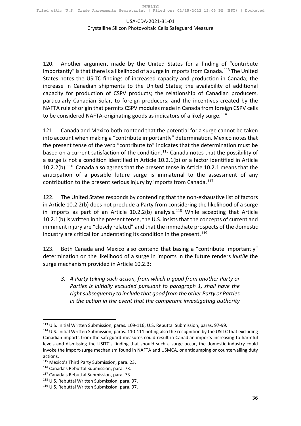120. Another argument made by the United States for a finding of "contribute importantly" is that there is a likelihood of a surge in imports from Canada.<sup>[113](#page-35-0)</sup> The United States notes the USITC findings of increased capacity and production in Canada; the increase in Canadian shipments to the United States; the availability of additional capacity for production of CSPV products; the relationship of Canadian producers, particularly Canadian Solar, to foreign producers; and the incentives created by the NAFTA rule of origin that permits CSPV modules made in Canada from foreign CSPV cells to be considered NAFTA-originating goods as indicators of a likely surge.<sup>[114](#page-35-1)</sup>

121. Canada and Mexico both contend that the potential for a surge cannot be taken into account when making a "contribute importantly" determination. Mexico notes that the present tense of the verb "contribute to" indicates that the determination must be based on a current satisfaction of the condition.<sup>[115](#page-35-2)</sup> Canada notes that the possibility of a surge is not a condition identified in Article 10.2.1(b) or a factor identified in Article 10.2.2(b).[116](#page-35-3) Canada also agrees that the present tense in Article 10.2.1 means that the anticipation of a possible future surge is immaterial to the assessment of any contribution to the present serious injury by imports from Canada.<sup>[117](#page-35-4)</sup>

122. The United States responds by contending that the non-exhaustive list of factors in Article 10.2.2(b) does not preclude a Party from considering the likelihood of a surge in imports as part of an Article  $10.2.2(b)$  analysis.<sup>[118](#page-35-5)</sup> While accepting that Article 10.2.1(b) is written in the present tense, the U.S. insists that the concepts of current and imminent injury are "closely related" and that the immediate prospects of the domestic industry are critical for understating its condition in the present.<sup>[119](#page-35-6)</sup>

123. Both Canada and Mexico also contend that basing a "contribute importantly" determination on the likelihood of a surge in imports in the future renders *inutile* the surge mechanism provided in Article 10.2.3:

*3. A Party taking such action, from which a good from another Party or Parties is initially excluded pursuant to paragraph 1, shall have the right subsequently to include that good from the other Party or Parties in the action in the event that the competent investigating authority* 

<span id="page-35-0"></span><sup>113</sup> U.S. Initial Written Submission, paras. 109-116; U.S. Rebuttal Submission, paras. 97-99.

<span id="page-35-1"></span><sup>&</sup>lt;sup>114</sup> U.S. Initial Written Submission, paras. 110-111 noting also the recognition by the USITC that excluding Canadian imports from the safeguard measures could result in Canadian imports increasing to harmful levels and dismissing the USITC's finding that should such a surge occur, the domestic industry could invoke the import-surge mechanism found in NAFTA and USMCA, or antidumping or countervailing duty actions.

<span id="page-35-2"></span><sup>115</sup> Mexico's Third Party Submission, para. 23.

<span id="page-35-3"></span><sup>116</sup> Canada's Rebuttal Submission, para. 73.

<span id="page-35-4"></span><sup>&</sup>lt;sup>117</sup> Canada's Rebuttal Submission, para. 73.

<span id="page-35-5"></span><sup>118</sup> U.S. Rebuttal Written Submission, para. 97.

<span id="page-35-6"></span><sup>119</sup> U.S. Rebuttal Written Submission, para. 97.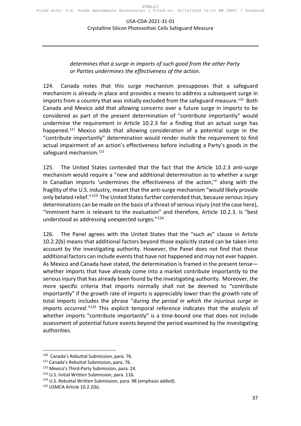#### *determines that a surge in imports of such good from the other Party or Parties undermines the effectiveness of the action*.

124. Canada notes that this surge mechanism presupposes that a safeguard mechanism is already in place and provides a means to address a subsequent surge in imports from a country that was initially excluded from the safeguard measure.<sup>120</sup> Both Canada and Mexico add that allowing concerns over a future surge in imports to be considered as part of the present determination of "contribute importantly" would undermine the requirement in Article 10.2.3 for a finding that an actual surge has happened.<sup>[121](#page-36-1)</sup> Mexico adds that allowing consideration of a potential surge in the "contribute importantly" determination would render *inutile* the requirement to find actual impairment of an action's effectiveness before including a Party's goods in the safeguard mechanism.<sup>[122](#page-36-2)</sup>

125. The United States contended that the fact that the Article 10.2.3 anti-surge mechanism would require a "new and additional determination as to whether a surge in Canadian imports 'undermines the effectiveness of the action,'" along with the fragility of the U.S. industry, meant that the anti-surge mechanism "would likely provide only belated relief."<sup>[123](#page-36-3)</sup> The United States further contended that, because serious injury determinations can be made on the basis of a threat of serious injury (not the case here), "imminent harm is relevant to the evaluation" and therefore, Article 10.2.3. is "best understood as addressing *unexpected* surges."[124](#page-36-4)

126. The Panel agrees with the United States that the "such as" clause in Article 10.2.2(b) means that additional factors beyond those explicitly stated can be taken into account by the investigating authority. However, the Panel does not find that those additional factors can include events that have not happened and may not ever happen. As Mexico and Canada have stated, the determination is framed in the present tense whether imports that have already come into a market contribute importantly to the serious injury that has already been found by the investigating authority. Moreover, the more specific criteria that imports normally shall not be deemed to "contribute importantly" if the growth rate of imports is appreciably lower than the growth rate of total imports includes the phrase "*during the period in which the injurious surge in imports occurred."[125](#page-36-5)* This explicit temporal reference indicates that the analysis of whether imports "contribute importantly" is a time-bound one that does not include assessment of potential future events beyond the period examined by the investigating authorities.

<span id="page-36-1"></span><span id="page-36-0"></span><sup>120</sup> Canada's Rebuttal Submission, para. 76. 121 Canada's Rebuttal Submission, para. 76.

<span id="page-36-2"></span><sup>122</sup> Mexico's Third-Party Submission, para. 24.

<span id="page-36-3"></span><sup>123</sup> U.S. Initial Written Submission, para. 116.

<span id="page-36-4"></span><sup>&</sup>lt;sup>124</sup> U.S. Rebuttal Written Submission, para. 98 (emphasis added).

<span id="page-36-5"></span><sup>125</sup> USMCA Article 10.2.2(b).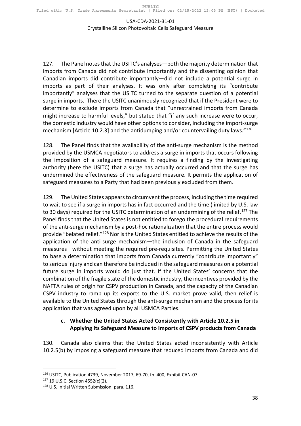127. The Panel notes that the USITC's analyses—both the majority determination that imports from Canada did not contribute importantly and the dissenting opinion that Canadian imports did contribute importantly—did not include a potential surge in imports as part of their analyses. It was only after completing its "contribute importantly" analyses that the USITC turned to the separate question of a potential surge in imports. There the USITC unanimously recognized that if the President were to determine to exclude imports from Canada that "unrestrained imports from Canada might increase to harmful levels," but stated that "if any such increase were to occur, the domestic industry would have other options to consider, including the import-surge mechanism [Article 10.2.3] and the antidumping and/or countervailing duty laws." $126$ 

128. The Panel finds that the availability of the anti-surge mechanism is the method provided by the USMCA negotiators to address a surge in imports that occurs following the imposition of a safeguard measure. It requires a finding by the investigating authority (here the USITC) that a surge has actually occurred and that the surge has undermined the effectiveness of the safeguard measure. It permits the application of safeguard measures to a Party that had been previously excluded from them.

129. The United States appears to circumvent the process, including the time required to wait to see if a surge in imports has in fact occurred and the time (limited by U.S. law to 30 days) required for the USITC determination of an undermining of the relief.<sup>[127](#page-37-2)</sup> The Panel finds that the United States is not entitled to forego the procedural requirements of the anti-surge mechanism by a post-hoc rationalization that the entire process would provide "belated relief."<sup>[128](#page-37-3)</sup> Nor is the United States entitled to achieve the results of the application of the anti-surge mechanism—the inclusion of Canada in the safeguard measures—without meeting the required pre-requisites. Permitting the United States to base a determination that imports from Canada currently "contribute importantly" to serious injury and can therefore be included in the safeguard measures on a potential future surge in imports would do just that. If the United States' concerns that the combination of the fragile state of the domestic industry, the incentives provided by the NAFTA rules of origin for CSPV production in Canada, and the capacity of the Canadian CSPV industry to ramp up its exports to the U.S. market prove valid, then relief is available to the United States through the anti-surge mechanism and the process for its application that was agreed upon by all USMCA Parties.

#### <span id="page-37-0"></span>**c. Whether the United States Acted Consistently with Article 10.2.5 in Applying Its Safeguard Measure to Imports of CSPV products from Canada**

130. Canada also claims that the United States acted inconsistently with Article 10.2.5(b) by imposing a safeguard measure that reduced imports from Canada and did

<span id="page-37-1"></span><sup>126</sup> USITC, Publication 4739, November 2017, 69-70, fn. 400, Exhibit CAN-07.

<span id="page-37-2"></span><sup>127</sup> 19 U.S.C. Section 4552(c)(2).

<span id="page-37-3"></span><sup>128</sup> U.S. Initial Written Submission, para. 116.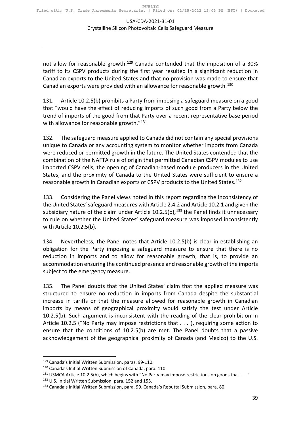not allow for reasonable growth.<sup>[129](#page-38-0)</sup> Canada contended that the imposition of a 30% tariff to its CSPV products during the first year resulted in a significant reduction in Canadian exports to the United States and that no provision was made to ensure that Canadian exports were provided with an allowance for reasonable growth.<sup>[130](#page-38-1)</sup>

131. Article 10.2.5(b) prohibits a Party from imposing a safeguard measure on a good that "would have the effect of reducing imports of such good from a Party below the trend of imports of the good from that Party over a recent representative base period with allowance for reasonable growth."<sup>[131](#page-38-2)</sup>

132. The safeguard measure applied to Canada did not contain any special provisions unique to Canada or any accounting system to monitor whether imports from Canada were reduced or permitted growth in the future. The United States contended that the combination of the NAFTA rule of origin that permitted Canadian CSPV modules to use imported CSPV cells, the opening of Canadian-based module producers in the United States, and the proximity of Canada to the United States were sufficient to ensure a reasonable growth in Canadian exports of CSPV products to the United States.<sup>[132](#page-38-3)</sup>

133. Considering the Panel views noted in this report regarding the inconsistency of the United States' safeguard measures with Article 2.4.2 and Article 10.2.1 and given the subsidiary nature of the claim under Article 10.2.5(b),<sup>[133](#page-38-4)</sup> the Panel finds it unnecessary to rule on whether the United States' safeguard measure was imposed inconsistently with Article 10.2.5(b).

134. Nevertheless, the Panel notes that Article 10.2.5(b) is clear in establishing an obligation for the Party imposing a safeguard measure to ensure that there is no reduction in imports and to allow for reasonable growth, that is, to provide an accommodation ensuring the continued presence and reasonable growth of the imports subject to the emergency measure.

135. The Panel doubts that the United States' claim that the applied measure was structured to ensure no reduction in imports from Canada despite the substantial increase in tariffs or that the measure allowed for reasonable growth in Canadian imports by means of geographical proximity would satisfy the test under Article 10.2.5(b). Such argument is inconsistent with the reading of the clear prohibition in Article 10.2.5 ("No Party may impose restrictions that . . ."), requiring some action to ensure that the conditions of 10.2.5(b) are met. The Panel doubts that a passive acknowledgement of the geographical proximity of Canada (and Mexico) to the U.S.

<span id="page-38-0"></span><sup>129</sup> Canada's Initial Written Submission, paras. 99-110.

<span id="page-38-1"></span><sup>130</sup> Canada's Initial Written Submission of Canada, para. 110.

<sup>&</sup>lt;sup>131</sup> USMCA Article 10.2.5(b), which begins with "No Party may impose restrictions on goods that  $\dots$ "

<span id="page-38-4"></span><span id="page-38-3"></span><span id="page-38-2"></span><sup>&</sup>lt;sup>132</sup> U.S. Initial Written Submission, para. 152 and 155.<br><sup>133</sup> Canada's Initial Written Submission, para. 99. Canada's Rebuttal Submission, para. 80.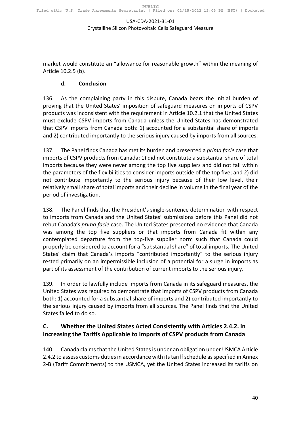<span id="page-39-0"></span>market would constitute an "allowance for reasonable growth" within the meaning of Article 10.2.5 (b).

#### **d. Conclusion**

136. As the complaining party in this dispute, Canada bears the initial burden of proving that the United States' imposition of safeguard measures on imports of CSPV products was inconsistent with the requirement in Article 10.2.1 that the United States must exclude CSPV imports from Canada unless the United States has demonstrated that CSPV imports from Canada both: 1) accounted for a substantial share of imports and 2) contributed importantly to the serious injury caused by imports from all sources.

137. The Panel finds Canada has met its burden and presented a *prima facie* case that imports of CSPV products from Canada: 1) did not constitute a substantial share of total imports because they were never among the top five suppliers and did not fall within the parameters of the flexibilities to consider imports outside of the top five; and 2) did not contribute importantly to the serious injury because of their low level, their relatively small share of total imports and their decline in volume in the final year of the period of investigation.

138. The Panel finds that the President's single-sentence determination with respect to imports from Canada and the United States' submissions before this Panel did not rebut Canada's *prima facie* case. The United States presented no evidence that Canada was among the top five suppliers or that imports from Canada fit within any contemplated departure from the top-five supplier norm such that Canada could properly be considered to account for a "substantial share" of total imports. The United States' claim that Canada's imports "contributed importantly" to the serious injury rested primarily on an impermissible inclusion of a potential for a surge in imports as part of its assessment of the contribution of current imports to the serious injury.

139. In order to lawfully include imports from Canada in its safeguard measures, the United States was required to demonstrate that imports of CSPV products from Canada both: 1) accounted for a substantial share of imports and 2) contributed importantly to the serious injury caused by imports from all sources. The Panel finds that the United States failed to do so.

#### <span id="page-39-1"></span>**C. Whether the United States Acted Consistently with Articles 2.4.2. in Increasing the Tariffs Applicable to Imports of CSPV products from Canada**

140. Canada claims that the United States is under an obligation under USMCA Article 2.4.2 to assess customs duties in accordance with its tariff schedule as specified in Annex 2-B (Tariff Commitments) to the USMCA, yet the United States increased its tariffs on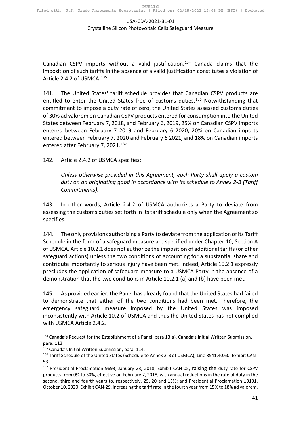Canadian CSPV imports without a valid justification.<sup>[134](#page-40-0)</sup> Canada claims that the imposition of such tariffs in the absence of a valid justification constitutes a violation of Article 2.4.2 of USMCA.[135](#page-40-1)

141. The United States' tariff schedule provides that Canadian CSPV products are entitled to enter the United States free of customs duties.<sup>[136](#page-40-2)</sup> Notwithstanding that commitment to impose a duty rate of zero, the United States assessed customs duties of 30% ad valorem on Canadian CSPV products entered for consumption into the United States between February 7, 2018, and February 6, 2019, 25% on Canadian CSPV imports entered between February 7 2019 and February 6 2020, 20% on Canadian imports entered between February 7, 2020 and February 6 2021, and 18% on Canadian imports entered after February 7, 2021.<sup>[137](#page-40-3)</sup>

142. Article 2.4.2 of USMCA specifies:

*Unless otherwise provided in this Agreement, each Party shall apply a custom duty on an originating good in accordance with its schedule to Annex 2-B (Tariff Commitments).* 

143. In other words, Article 2.4.2 of USMCA authorizes a Party to deviate from assessing the customs duties set forth in its tariff schedule only when the Agreement so specifies.

144. The only provisions authorizing a Party to deviate from the application of its Tariff Schedule in the form of a safeguard measure are specified under Chapter 10, Section A of USMCA. Article 10.2.1 does not authorize the imposition of additional tariffs (or other safeguard actions) unless the two conditions of accounting for a substantial share and contribute importantly to serious injury have been met. Indeed, Article 10.2.1 expressly precludes the application of safeguard measure to a USMCA Party in the absence of a demonstration that the two conditions in Article 10.2.1 (a) and (b) have been met.

145. As provided earlier, the Panel has already found that the United States had failed to demonstrate that either of the two conditions had been met. Therefore, the emergency safeguard measure imposed by the United States was imposed inconsistently with Article 10.2 of USMCA and thus the United States has not complied with USMCA Article 2.4.2.

<span id="page-40-0"></span><sup>134</sup> Canada's Request for the Establishment of a Panel, para 13(a), Canada's Initial Written Submission, para. 113.

<span id="page-40-1"></span><sup>135</sup> Canada's Initial Written Submission, para. 114.

<span id="page-40-2"></span><sup>136</sup> Tariff Schedule of the United States (Schedule to Annex 2-B of USMCA), Line 8541.40.60, Exhibit CAN-53.

<span id="page-40-3"></span><sup>137</sup> Presidential Proclamation 9693, January 23, 2018, Exhibit CAN-05, raising the duty rate for CSPV products from 0% to 30%, effective on February 7, 2018, with annual reductions in the rate of duty in the second, third and fourth years to, respectively, 25, 20 and 15%; and Presidential Proclamation 10101, October 10, 2020, Exhibit CAN-29, increasing the tariff rate in the fourth year from 15% to 18% ad valorem.